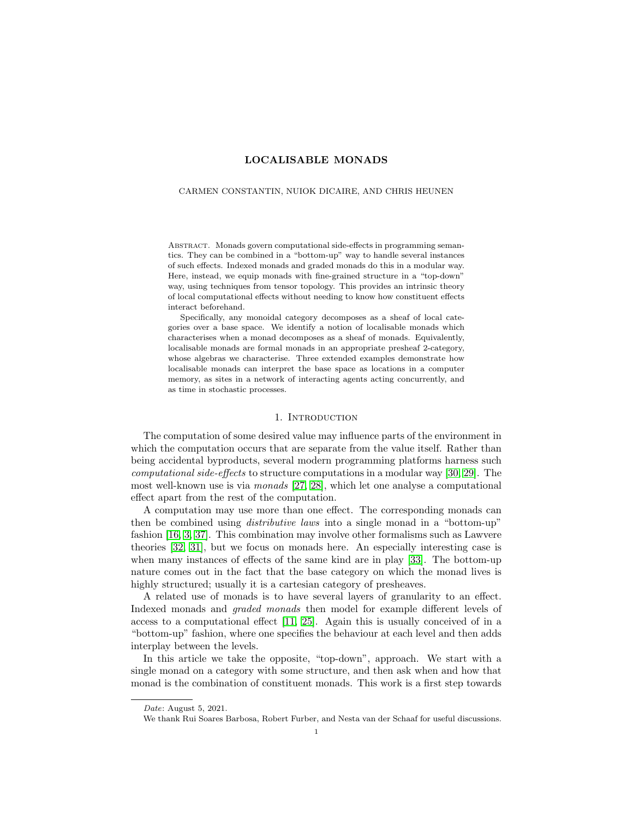# LOCALISABLE MONADS

#### <span id="page-0-0"></span>CARMEN CONSTANTIN, NUIOK DICAIRE, AND CHRIS HEUNEN

Abstract. Monads govern computational side-effects in programming semantics. They can be combined in a "bottom-up" way to handle several instances of such effects. Indexed monads and graded monads do this in a modular way. Here, instead, we equip monads with fine-grained structure in a "top-down" way, using techniques from tensor topology. This provides an intrinsic theory of local computational effects without needing to know how constituent effects interact beforehand.

Specifically, any monoidal category decomposes as a sheaf of local categories over a base space. We identify a notion of localisable monads which characterises when a monad decomposes as a sheaf of monads. Equivalently, localisable monads are formal monads in an appropriate presheaf 2-category, whose algebras we characterise. Three extended examples demonstrate how localisable monads can interpret the base space as locations in a computer memory, as sites in a network of interacting agents acting concurrently, and as time in stochastic processes.

#### 1. INTRODUCTION

The computation of some desired value may influence parts of the environment in which the computation occurs that are separate from the value itself. Rather than being accidental byproducts, several modern programming platforms harness such computational side-effects to structure computations in a modular way [\[30,](#page-16-0) [29\]](#page-16-1). The most well-known use is via monads [\[27,](#page-16-2) [28\]](#page-16-3), which let one analyse a computational effect apart from the rest of the computation.

A computation may use more than one effect. The corresponding monads can then be combined using distributive laws into a single monad in a "bottom-up" fashion [\[16,](#page-16-4) [3,](#page-16-5) [37\]](#page-17-0). This combination may involve other formalisms such as Lawvere theories [\[32,](#page-17-1) [31\]](#page-17-2), but we focus on monads here. An especially interesting case is when many instances of effects of the same kind are in play [\[33\]](#page-17-3). The bottom-up nature comes out in the fact that the base category on which the monad lives is highly structured; usually it is a cartesian category of presheaves.

A related use of monads is to have several layers of granularity to an effect. Indexed monads and graded monads then model for example different levels of access to a computational effect [\[11,](#page-16-6) [25\]](#page-16-7). Again this is usually conceived of in a "bottom-up" fashion, where one specifies the behaviour at each level and then adds interplay between the levels.

In this article we take the opposite, "top-down", approach. We start with a single monad on a category with some structure, and then ask when and how that monad is the combination of constituent monads. This work is a first step towards

Date: August 5, 2021.

We thank Rui Soares Barbosa, Robert Furber, and Nesta van der Schaaf for useful discussions.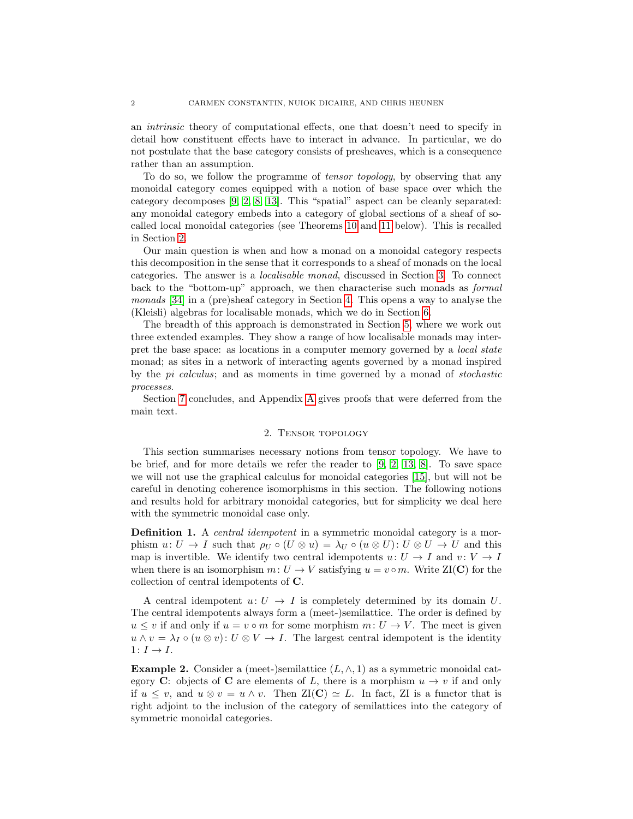an intrinsic theory of computational effects, one that doesn't need to specify in detail how constituent effects have to interact in advance. In particular, we do not postulate that the base category consists of presheaves, which is a consequence rather than an assumption.

To do so, we follow the programme of tensor topology, by observing that any monoidal category comes equipped with a notion of base space over which the category decomposes [\[9,](#page-16-8) [2,](#page-16-9) [8,](#page-16-10) [13\]](#page-16-11). This "spatial" aspect can be cleanly separated: any monoidal category embeds into a category of global sections of a sheaf of socalled local monoidal categories (see Theorems [10](#page-3-0) and [11](#page-3-1) below). This is recalled in Section [2.](#page-1-0)

Our main question is when and how a monad on a monoidal category respects this decomposition in the sense that it corresponds to a sheaf of monads on the local categories. The answer is a localisable monad, discussed in Section [3.](#page-3-2) To connect back to the "bottom-up" approach, we then characterise such monads as formal monads [\[34\]](#page-17-4) in a (pre)sheaf category in Section [4.](#page-6-0) This opens a way to analyse the (Kleisli) algebras for localisable monads, which we do in Section [6.](#page-13-0)

The breadth of this approach is demonstrated in Section [5,](#page-10-0) where we work out three extended examples. They show a range of how localisable monads may interpret the base space: as locations in a computer memory governed by a *local state* monad; as sites in a network of interacting agents governed by a monad inspired by the pi calculus; and as moments in time governed by a monad of stochastic processes.

Section [7](#page-15-0) concludes, and Appendix [A](#page-17-5) gives proofs that were deferred from the main text.

#### 2. Tensor topology

<span id="page-1-0"></span>This section summarises necessary notions from tensor topology. We have to be brief, and for more details we refer the reader to [\[9,](#page-16-8) [2,](#page-16-9) [13,](#page-16-11) [8\]](#page-16-10). To save space we will not use the graphical calculus for monoidal categories [\[15\]](#page-16-12), but will not be careful in denoting coherence isomorphisms in this section. The following notions and results hold for arbitrary monoidal categories, but for simplicity we deal here with the symmetric monoidal case only.

**Definition 1.** A *central idempotent* in a symmetric monoidal category is a morphism  $u: U \to I$  such that  $\rho_U \circ (U \otimes u) = \lambda_U \circ (u \otimes U): U \otimes U \to U$  and this map is invertible. We identify two central idempotents  $u: U \to I$  and  $v: V \to I$ when there is an isomorphism  $m: U \to V$  satisfying  $u = v \circ m$ . Write  $\mathbb{Z}I(C)$  for the collection of central idempotents of C.

A central idempotent  $u: U \to I$  is completely determined by its domain U. The central idempotents always form a (meet-)semilattice. The order is defined by  $u \leq v$  if and only if  $u = v \circ m$  for some morphism  $m: U \to V$ . The meet is given  $u \wedge v = \lambda_I \circ (u \otimes v) : U \otimes V \to I$ . The largest central idempotent is the identity  $1: I \rightarrow I$ .

<span id="page-1-1"></span>**Example 2.** Consider a (meet-)semilattice  $(L, \wedge, 1)$  as a symmetric monoidal category C: objects of C are elements of L, there is a morphism  $u \to v$  if and only if  $u \leq v$ , and  $u \otimes v = u \wedge v$ . Then  $\mathbb{Z}I(\mathbb{C}) \simeq L$ . In fact,  $\mathbb{Z}I$  is a functor that is right adjoint to the inclusion of the category of semilattices into the category of symmetric monoidal categories.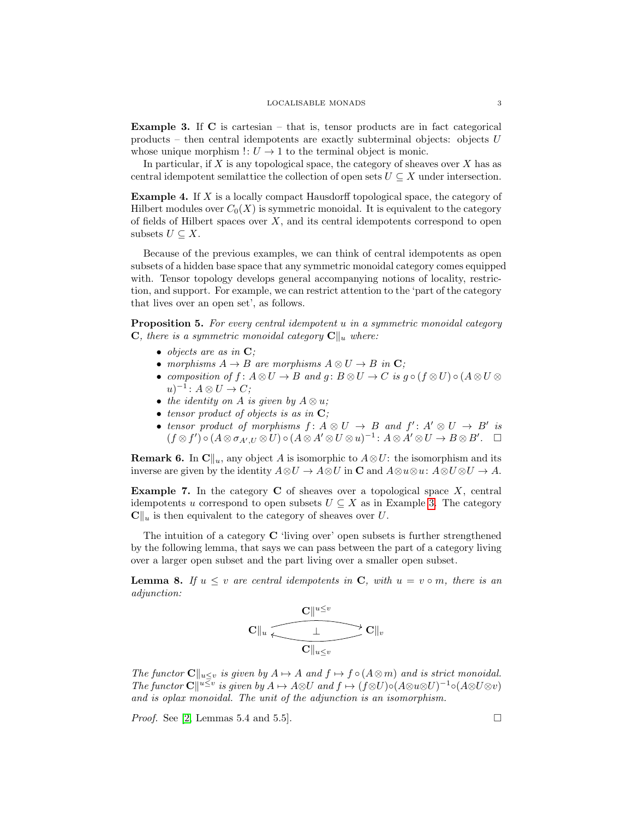<span id="page-2-0"></span>**Example 3.** If  $\bf{C}$  is cartesian – that is, tensor products are in fact categorical products – then central idempotents are exactly subterminal objects: objects  $U$ whose unique morphism  $\cdot: U \to 1$  to the terminal object is monic.

In particular, if  $X$  is any topological space, the category of sheaves over  $X$  has as central idempotent semilattice the collection of open sets  $U \subseteq X$  under intersection.

<span id="page-2-3"></span>Example 4. If X is a locally compact Hausdorff topological space, the category of Hilbert modules over  $C_0(X)$  is symmetric monoidal. It is equivalent to the category of fields of Hilbert spaces over  $X$ , and its central idempotents correspond to open subsets  $U \subseteq X$ .

Because of the previous examples, we can think of central idempotents as open subsets of a hidden base space that any symmetric monoidal category comes equipped with. Tensor topology develops general accompanying notions of locality, restriction, and support. For example, we can restrict attention to the 'part of the category that lives over an open set', as follows.

Proposition 5. For every central idempotent u in a symmetric monoidal category **C**, there is a symmetric monoidal category  $\mathbf{C}\Vert_{u}$  where:

- objects are as in  $\mathbf{C}$ ;
- morphisms  $A \to B$  are morphisms  $A \otimes U \to B$  in  $\mathbb{C};$
- composition of  $f: A \otimes U \to B$  and  $g: B \otimes U \to C$  is  $g \circ (f \otimes U) \circ (A \otimes U \otimes$  $u)^{-1}$ :  $A \otimes U \rightarrow C$ ;
- the identity on A is given by  $A \otimes u$ ;
- tensor product of objects is as in  $\mathbf{C}$ ;
- tensor product of morphisms  $f: A \otimes U \rightarrow B$  and  $f': A' \otimes U \rightarrow B'$  is  $(f \otimes f') \circ (A \otimes \sigma_{A',U} \otimes U) \circ (A \otimes A' \otimes U \otimes u)^{-1} : A \otimes A' \otimes U \to B \otimes B'. \square$

<span id="page-2-1"></span>**Remark 6.** In  $\mathbb{C}||_u$ , any object A is isomorphic to  $A \otimes U$ : the isomorphism and its inverse are given by the identity  $A\otimes U \to A\otimes U$  in  $\mathbb C$  and  $A\otimes u\otimes u: A\otimes U\otimes U \to A$ .

**Example 7.** In the category  $C$  of sheaves over a topological space  $X$ , central idempotents u correspond to open subsets  $U \subseteq X$  as in Example [3.](#page-2-0) The category  $\mathbf{C}\Vert_{u}$  is then equivalent to the category of sheaves over U.

The intuition of a category C 'living over' open subsets is further strengthened by the following lemma, that says we can pass between the part of a category living over a larger open subset and the part living over a smaller open subset.

<span id="page-2-2"></span>**Lemma 8.** If  $u \leq v$  are central idempotents in C, with  $u = v \circ m$ , there is an adjunction:

$$
\displaystyle \mathbf{C} \|_{u} \xleftarrow[\mathbf{C}]\|_{u\leq v} \mathbf{C} \|_{u}
$$

The functor  $\mathbf{C}\|_{u\leq v}$  is given by  $A \mapsto A$  and  $f \mapsto f \circ (A \otimes m)$  and is strict monoidal. The functor  $\mathbf{C} \parallel^{u \leq v}$  is given by  $A \mapsto A \otimes U$  and  $f \mapsto (f \otimes U) \circ (A \otimes u \otimes U)^{-1} \circ (A \otimes U \otimes v)$ and is oplax monoidal. The unit of the adjunction is an isomorphism.

*Proof.* See [\[2,](#page-16-9) Lemmas 5.4 and 5.5].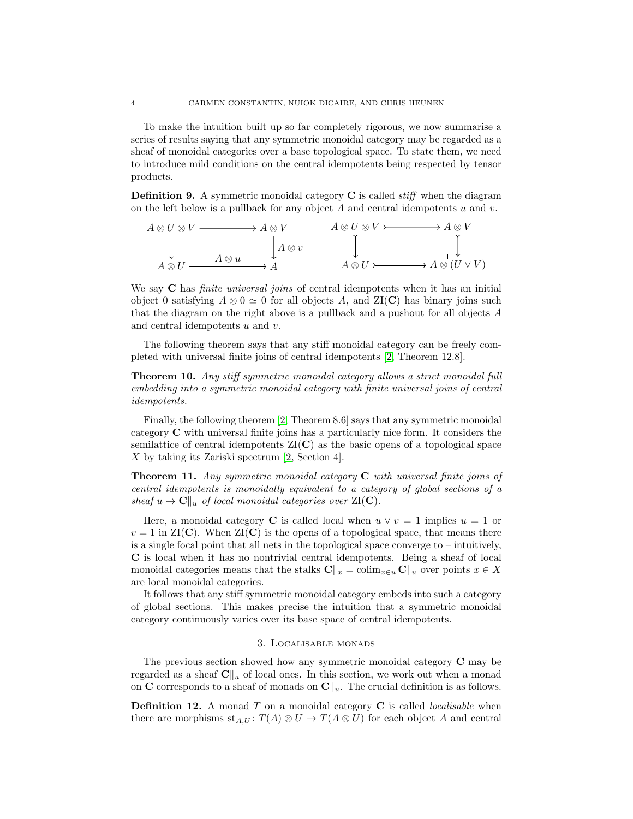To make the intuition built up so far completely rigorous, we now summarise a series of results saying that any symmetric monoidal category may be regarded as a sheaf of monoidal categories over a base topological space. To state them, we need to introduce mild conditions on the central idempotents being respected by tensor products.

**Definition 9.** A symmetric monoidal category  $\bf{C}$  is called *stiff* when the diagram on the left below is a pullback for any object A and central idempotents u and v.

$$
A \otimes U \otimes V \xrightarrow{\qquad} A \otimes V \qquad A \otimes U \otimes V \xrightarrow{\qquad} A \otimes V
$$
  
\n
$$
\downarrow A \otimes U \qquad A \otimes u \qquad \downarrow A \otimes U \xrightarrow{\qquad} A \otimes U \otimes V \xrightarrow{\qquad} A \otimes V
$$
  
\n
$$
A \otimes U \xrightarrow{\qquad} A \otimes U \xrightarrow{\qquad} A \otimes (U \vee V)
$$

We say C has *finite universal joins* of central idempotents when it has an initial object 0 satisfying  $A \otimes 0 \simeq 0$  for all objects A, and  $ZI(C)$  has binary joins such that the diagram on the right above is a pullback and a pushout for all objects A and central idempotents  $u$  and  $v$ .

The following theorem says that any stiff monoidal category can be freely completed with universal finite joins of central idempotents [\[2,](#page-16-9) Theorem 12.8].

<span id="page-3-0"></span>Theorem 10. Any stiff symmetric monoidal category allows a strict monoidal full embedding into a symmetric monoidal category with finite universal joins of central idempotents.

Finally, the following theorem [\[2,](#page-16-9) Theorem 8.6] says that any symmetric monoidal category C with universal finite joins has a particularly nice form. It considers the semilattice of central idempotents  $ZI(C)$  as the basic opens of a topological space X by taking its Zariski spectrum [\[2,](#page-16-9) Section 4].

<span id="page-3-1"></span>**Theorem 11.** Any symmetric monoidal category  $C$  with universal finite joins of central idempotents is monoidally equivalent to a category of global sections of a sheaf  $u \mapsto \mathbf{C} \Vert_u$  of local monoidal categories over ZI(C).

Here, a monoidal category **C** is called local when  $u \vee v = 1$  implies  $u = 1$  or  $v = 1$  in  $\mathrm{ZI}(\mathbf{C})$ . When  $\mathrm{ZI}(\mathbf{C})$  is the opens of a topological space, that means there is a single focal point that all nets in the topological space converge to – intuitively, C is local when it has no nontrivial central idempotents. Being a sheaf of local monoidal categories means that the stalks  $\mathbf{C}\|_x = \operatorname{colim}_{x\in u} \mathbf{C}\|_u$  over points  $x \in X$ are local monoidal categories.

It follows that any stiff symmetric monoidal category embeds into such a category of global sections. This makes precise the intuition that a symmetric monoidal category continuously varies over its base space of central idempotents.

## 3. Localisable monads

<span id="page-3-2"></span>The previous section showed how any symmetric monoidal category C may be regarded as a sheaf  $\mathbf{C}\Vert_{u}$  of local ones. In this section, we work out when a monad on C corresponds to a sheaf of monads on  $\mathbb{C}\Vert_{u}$ . The crucial definition is as follows.

<span id="page-3-3"></span>**Definition 12.** A monad  $T$  on a monoidal category  $C$  is called *localisable* when there are morphisms  $st_{A,U}$ :  $T(A) \otimes U \to T(A \otimes U)$  for each object A and central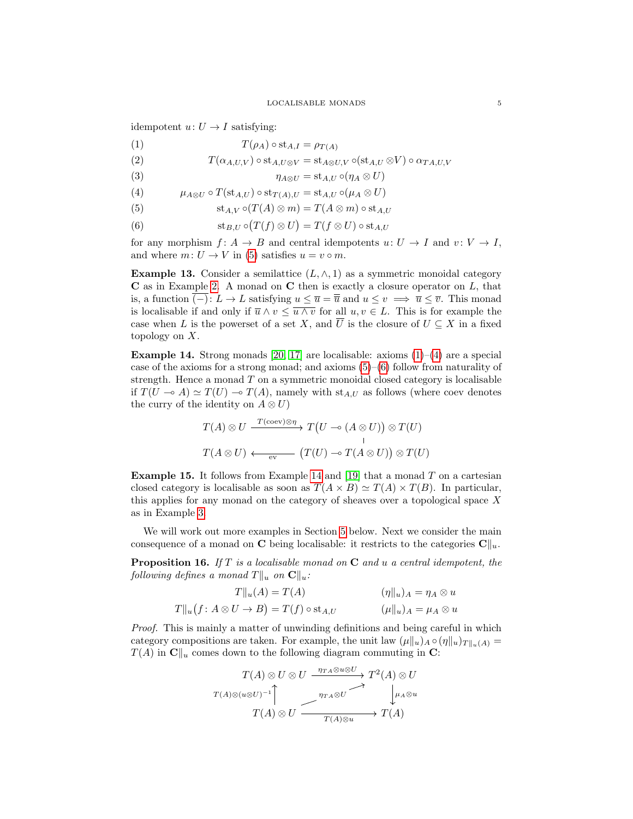idempotent  $u: U \to I$  satisfying:

<span id="page-4-8"></span><span id="page-4-1"></span>
$$
(1) \tT(\rho_A) \circ st_{A,I} = \rho_{T(A)}
$$

(2) 
$$
T(\alpha_{A,U,V}) \circ st_{A,U\otimes V} = st_{A\otimes U,V} \circ (st_{A,U}\otimes V) \circ \alpha_{TA,U,V}
$$

<span id="page-4-5"></span><span id="page-4-2"></span>(3) 
$$
\eta_{A\otimes U} = \mathrm{st}_{A,U} \circ (\eta_A \otimes U)
$$

<span id="page-4-0"></span>(4) 
$$
\mu_{A\otimes U} \circ T(\mathrm{st}_{A,U}) \circ \mathrm{st}_{T(A),U} = \mathrm{st}_{A,U} \circ (\mu_A \otimes U)
$$

(5) 
$$
\mathrm{st}_{A,V} \circ (T(A) \otimes m) = T(A \otimes m) \circ \mathrm{st}_{A,U}
$$

<span id="page-4-3"></span>(6) 
$$
\mathrm{st}_{B,U} \circ (T(f) \otimes U) = T(f \otimes U) \circ \mathrm{st}_{A,U}
$$

for any morphism  $f: A \to B$  and central idempotents  $u: U \to I$  and  $v: V \to I$ , and where  $m: U \to V$  in [\(5\)](#page-4-0) satisfies  $u = v \circ m$ .

<span id="page-4-6"></span>**Example 13.** Consider a semilattice  $(L, \wedge, 1)$  as a symmetric monoidal category  $C$  as in Example [2.](#page-1-1) A monad on  $C$  then is exactly a closure operator on  $L$ , that is, a function  $\overline{(-)}: L \to L$  satisfying  $u \leq \overline{u} = \overline{\overline{u}}$  and  $u \leq v \implies \overline{u} \leq \overline{v}$ . This monad is localisable if and only if  $\overline{u} \wedge v \leq \overline{u \wedge v}$  for all  $u, v \in L$ . This is for example the case when L is the powerset of a set X, and  $\overline{U}$  is the closure of  $U \subseteq X$  in a fixed topology on X.

<span id="page-4-4"></span>**Example 14.** Strong monads [\[20,](#page-16-13) [17\]](#page-16-14) are localisable: axioms  $(1)$ – $(4)$  are a special case of the axioms for a strong monad; and axioms  $(5)-(6)$  $(5)-(6)$  $(5)-(6)$  follow from naturality of strength. Hence a monad  $T$  on a symmetric monoidal closed category is localisable if  $T(U \multimap A) \simeq T(U) \multimap T(A)$ , namely with  $st_{A,U}$  as follows (where coev denotes the curry of the identity on  $A \otimes U$ )

$$
T(A) \otimes U \xrightarrow{T(\text{coev}) \otimes \eta} T(U \multimap (A \otimes U)) \otimes T(U)
$$
  

$$
T(A \otimes U) \xleftarrow{\text{ev}} (T(U) \multimap T(A \otimes U)) \otimes T(U)
$$

**Example 15.** It follows from Example [14](#page-4-4) and [\[19\]](#page-16-15) that a monad  $T$  on a cartesian closed category is localisable as soon as  $T(A \times B) \simeq T(A) \times T(B)$ . In particular, this applies for any monad on the category of sheaves over a topological space X as in Example [3.](#page-2-0)

We will work out more examples in Section [5](#page-10-0) below. Next we consider the main consequence of a monad on **C** being localisable: it restricts to the categories  $\mathbf{C}\|_{u}$ .

<span id="page-4-7"></span>**Proposition 16.** If  $T$  is a localisable monad on  $C$  and  $u$  a central idempotent, the following defines a monad  $T\|_u$  on  $\mathbf{C}\|_u$ :

$$
T||_{u}(A) = T(A) \qquad (\eta||_{u})_{A} = \eta_{A} \otimes u
$$
  

$$
T||_{u}(f: A \otimes U \to B) = T(f) \circ st_{A,U} \qquad (\mu||_{u})_{A} = \mu_{A} \otimes u
$$

Proof. This is mainly a matter of unwinding definitions and being careful in which category compositions are taken. For example, the unit law  $(\mu \|_u)_A \circ (\eta \|_u)_{T\|_u(A)} =$  $T(A)$  in  $\mathbf{C} \parallel_u$  comes down to the following diagram commuting in C:

$$
T(A) \otimes U \otimes U \xrightarrow{\eta_{TA} \otimes u \otimes U} T^{2}(A) \otimes U
$$
  

$$
T(A) \otimes (u \otimes U)^{-1} \qquad \qquad \downarrow \mu_A \otimes u
$$
  

$$
T(A) \otimes U \xrightarrow{\eta_{TA} \otimes U} T(A)
$$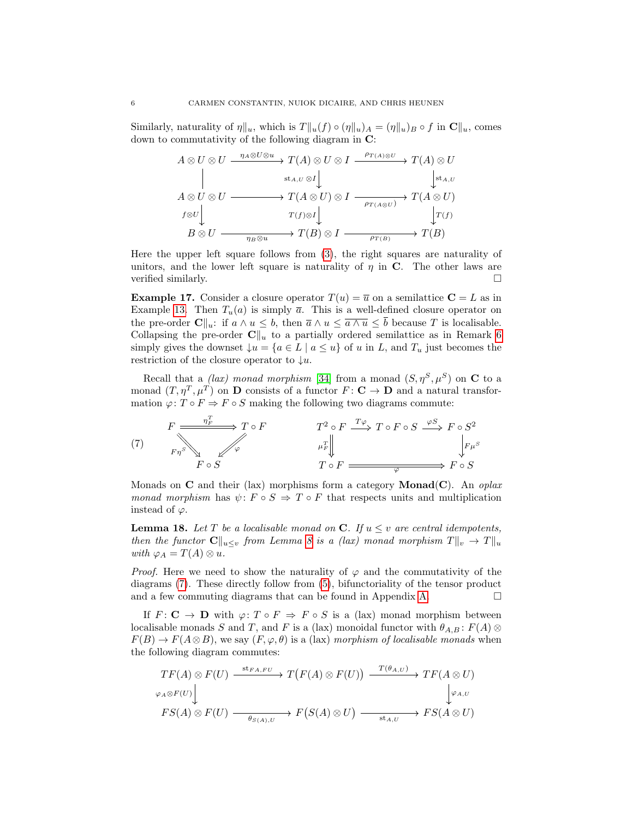Similarly, naturality of  $\eta \|_u$ , which is  $T \|_u(f) \circ (\eta \|_u)_A = (\eta \|_u)_B \circ f$  in  $\mathbb{C} \|_u$ , comes down to commutativity of the following diagram in C:

$$
A \otimes U \otimes U \xrightarrow{\eta_A \otimes U \otimes u} T(A) \otimes U \otimes I \xrightarrow{\rho_{T(A) \otimes U}} T(A) \otimes U
$$
  
\n
$$
\downarrow \text{st}_{A,U} \otimes I \downarrow \qquad \qquad \downarrow \text{st}_{A,U}
$$
  
\n
$$
A \otimes U \otimes U \xrightarrow{\text{st}_{A,U} \otimes I} T(A \otimes U) \otimes I \xrightarrow{\rho_{T(A \otimes U)}} T(A \otimes U)
$$
  
\n
$$
f \otimes U \downarrow \qquad \qquad T(f) \otimes I \downarrow \qquad \qquad \downarrow T(f)
$$
  
\n
$$
B \otimes U \xrightarrow{\eta_B \otimes u} T(B) \otimes I \xrightarrow{\rho_{T(B)}} T(B)
$$

Here the upper left square follows from [\(3\)](#page-4-5), the right squares are naturality of unitors, and the lower left square is naturality of  $\eta$  in C. The other laws are verified similarly.

**Example 17.** Consider a closure operator  $T(u) = \overline{u}$  on a semilattice  $C = L$  as in Example [13.](#page-4-6) Then  $T_u(a)$  is simply  $\bar{a}$ . This is a well-defined closure operator on the pre-order  $\mathbf{C}||_u$ : if  $a \wedge u \leq b$ , then  $\overline{a} \wedge u \leq \overline{a \wedge u} \leq \overline{b}$  because T is localisable. Collapsing the pre-order  $\mathbf{C}\Vert_{u}$  to a partially ordered semilattice as in Remark [6](#page-2-1) simply gives the downset  $\downarrow u = \{a \in L \mid a \leq u\}$  of u in L, and  $T_u$  just becomes the restriction of the closure operator to  $\downarrow u$ .

Recall that a *(lax)* monad morphism [\[34\]](#page-17-4) from a monad  $(S, \eta^S, \mu^S)$  on **C** to a monad  $(T, \eta^T, \mu^T)$  on **D** consists of a functor  $F: \mathbf{C} \to \mathbf{D}$  and a natural transformation  $\varphi: T \circ F \Rightarrow F \circ S$  making the following two diagrams commute:

<span id="page-5-0"></span>(7) 
$$
F \xrightarrow{p_F^T} T \circ F
$$
  $T^2 \circ F \xrightarrow{T\varphi} T \circ F \circ S \xrightarrow{\varphi S} F \circ S^2$   
\n $F \circ S$   $\downarrow F \downarrow$   $\downarrow F \downarrow$   $\downarrow F \circ F$   $\downarrow F \circ S$ 

Monads on **C** and their (lax) morphisms form a category **Monad(C)**. An oplax monad morphism has  $\psi: F \circ S \Rightarrow T \circ F$  that respects units and multiplication instead of  $\varphi$ .

<span id="page-5-1"></span>**Lemma 18.** Let T be a localisable monad on C. If  $u \leq v$  are central idempotents, then the functor  $C\|_{u\leq v}$  from Lemma [8](#page-2-2) is a (lax) monad morphism  $T\|_{v} \to T\|_{u}$ with  $\varphi_A = T(A) \otimes u$ .

*Proof.* Here we need to show the naturality of  $\varphi$  and the commutativity of the diagrams [\(7\)](#page-5-0). These directly follow from [\(5\)](#page-4-0), bifunctoriality of the tensor product and a few commuting diagrams that can be found in Appendix [A.](#page-17-5)  $\Box$ 

If  $F: \mathbf{C} \to \mathbf{D}$  with  $\varphi: T \circ F \Rightarrow F \circ S$  is a (lax) monad morphism between localisable monads S and T, and F is a (lax) monoidal functor with  $\theta_{A,B}$ :  $F(A)$  ⊗  $F(B) \to F(A \otimes B)$ , we say  $(F, \varphi, \theta)$  is a (lax) morphism of localisable monads when the following diagram commutes:

$$
\begin{array}{ccc}\nTF(A) \otimes F(U) & \xrightarrow{\text{st}_{FA, FU}} T(F(A) \otimes F(U)) & \xrightarrow{T(\theta_{A,U})} TF(A \otimes U) \\
\downarrow^{\varphi_{A} \otimes F(U)} & & \downarrow^{\varphi_{A,U}} \\
FS(A) \otimes F(U) & \xrightarrow{\theta_{S(A),U}} F(S(A) \otimes U) & \xrightarrow{\text{st}_{A,U}} FS(A \otimes U)\n\end{array}
$$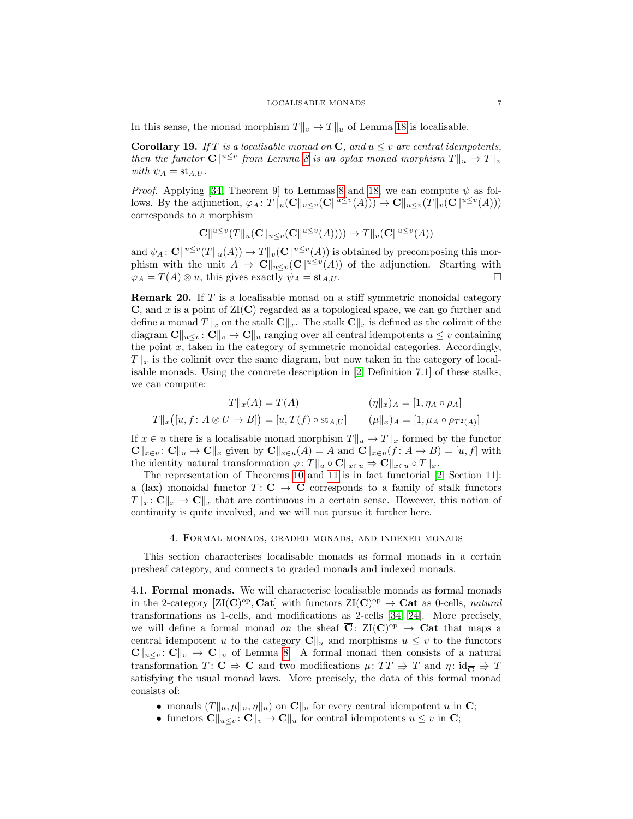In this sense, the monad morphism  $T\|_v \to T\|_u$  of Lemma [18](#page-5-1) is localisable.

**Corollary 19.** If T is a localisable monad on C, and  $u \leq v$  are central idempotents, then the functor  $\mathbf{C} \|^{u \le v}$  from Lemma [8](#page-2-2) is an oplax monad morphism  $T \|_{u} \to T \|_{v}$ with  $\psi_A = st_{A,U}$ .

*Proof.* Applying [\[34,](#page-17-4) Theorem 9] to Lemmas [8](#page-2-2) and [18,](#page-5-1) we can compute  $\psi$  as follows. By the adjunction,  $\varphi_A: T||_u(\mathbf{C}||_{u\leq v}(\mathbf{C}||^{u\leq v}(A))) \to \mathbf{C}||_{u\leq v}(T||_v(\mathbf{C}||^{u\leq v}(A)))$ corresponds to a morphism

$$
\mathbf{C} \Vert^{u \leq v} (T \Vert_u(\mathbf{C} \Vert_{u \leq v}(\mathbf{C} \Vert^{u \leq v}(A)))) \to T \Vert_v(\mathbf{C} \Vert^{u \leq v}(A))
$$

and  $\psi_A\colon \mathbf{C} \Vert^{u\leq v}(T\Vert_u(A)) \to T\Vert_v(\mathbf{C} \Vert^{u\leq v}(A))$  is obtained by precomposing this morphism with the unit  $A \to \mathbf{C} \|_{u \leq v} (\mathbf{C} \|^{u \leq v} (A))$  of the adjunction. Starting with  $\varphi_A = T(A) \otimes u$ , this gives exactly  $\psi_A = st_{A,U}$ .

<span id="page-6-1"></span>Remark 20. If T is a localisable monad on a stiff symmetric monoidal category  $\bf{C}$ , and x is a point of  $\rm{ZI}(\bf{C})$  regarded as a topological space, we can go further and define a monad  $T\|_x$  on the stalk  $\mathbf{C}\|_x$ . The stalk  $\mathbf{C}\|_x$  is defined as the colimit of the diagram  $\mathbf{C}\|_{u\leq v}$ :  $\mathbf{C}\|_{v} \to \mathbf{C}\|_{u}$  ranging over all central idempotents  $u \leq v$  containing the point  $x$ , taken in the category of symmetric monoidal categories. Accordingly,  $T\|_{x}$  is the colimit over the same diagram, but now taken in the category of localisable monads. Using the concrete description in [\[2,](#page-16-9) Definition 7.1] of these stalks, we can compute:

$$
T||_{x}(A) = T(A) \qquad (\eta ||_{x})_{A} = [1, \eta_{A} \circ \rho_{A}]
$$
  

$$
T||_{x}([u, f: A \otimes U \to B]) = [u, T(f) \circ st_{A,U}] \qquad (\mu ||_{x})_{A} = [1, \mu_{A} \circ \rho_{T^{2}(A)}]
$$

If  $x \in u$  there is a localisable monad morphism  $T||_u \to T||_x$  formed by the functor  $\mathbf{C}\|_{x\in u}:\mathbf{C}\|_{u}\to\mathbf{C}\|_{x}$  given by  $\mathbf{C}\|_{x\in u}(A)=A$  and  $\mathbf{C}\|_{x\in u}(f: A\to B)=[u, f]$  with the identity natural transformation  $\varphi: T||_u \circ \mathbf{C}||_{x \in u} \Rightarrow \mathbf{C}||_{x \in u} \circ T||_x$ .

The representation of Theorems [10](#page-3-0) and [11](#page-3-1) is in fact functorial [\[2,](#page-16-9) Section 11]: a (lax) monoidal functor  $T: \mathbf{C} \to \mathbf{C}$  corresponds to a family of stalk functors  $T\|_x: \mathbf{C}\|_x \to \mathbf{C}\|_x$  that are continuous in a certain sense. However, this notion of continuity is quite involved, and we will not pursue it further here.

#### 4. Formal monads, graded monads, and indexed monads

<span id="page-6-0"></span>This section characterises localisable monads as formal monads in a certain presheaf category, and connects to graded monads and indexed monads.

4.1. Formal monads. We will characterise localisable monads as formal monads in the 2-category  $[\text{ZI}(\mathbf{C})^{\text{op}}, \mathbf{Cat}]$  with functors  $\text{ZI}(\mathbf{C})^{\text{op}} \to \mathbf{Cat}$  as 0-cells, *natural* transformations as 1-cells, and modifications as 2-cells [\[34,](#page-17-4) [24\]](#page-16-16). More precisely, we will define a formal monad on the sheaf  $\overline{C}$ :  $\mathrm{ZI}(\mathbf{C})^{\mathrm{op}} \to \mathbf{Cat}$  that maps a central idempotent u to the category  $C\Vert_u$  and morphisms  $u \leq v$  to the functors  $\mathbf{C} \|_{u \leq v} : \mathbf{C} \|_{v} \to \mathbf{C} \|_{u}$  of Lemma [8.](#page-2-2) A formal monad then consists of a natural transformation  $\overline{T} : \overline{C} \Rightarrow \overline{C}$  and two modifications  $\mu : \overline{TT} \Rightarrow \overline{T}$  and  $\eta : id_{\overline{C}} \Rightarrow \overline{T}$ satisfying the usual monad laws. More precisely, the data of this formal monad consists of:

- monads  $(T||_u, \mu||_u, \eta||_u)$  on  $\mathbf{C}||_u$  for every central idempotent u in C;
- functors  $\mathbf{C}\|_{u\leq v} \colon \mathbf{C}\|_{v} \to \mathbf{C}\|_{u}$  for central idempotents  $u \leq v$  in  $\mathbf{C}$ ;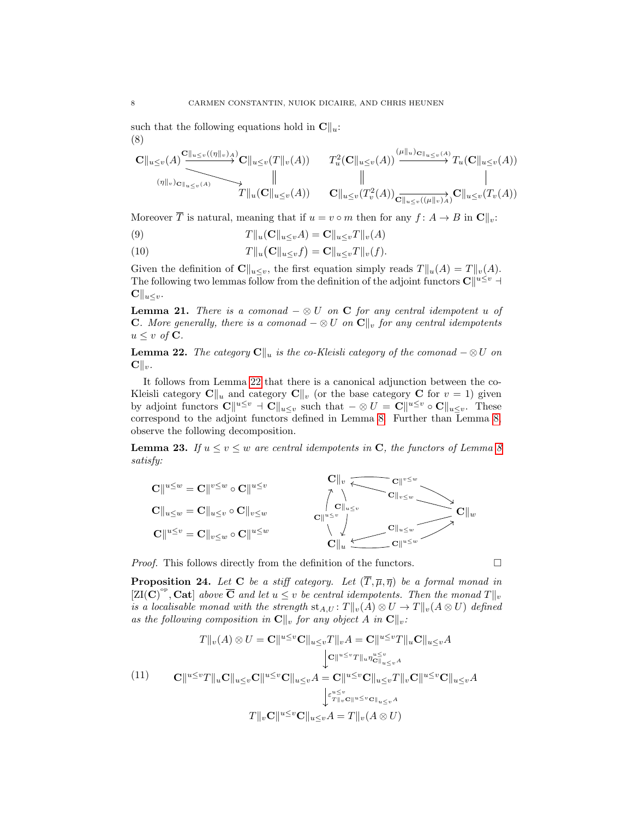such that the following equations hold in  $\mathbf{C}\|_{u}$ : (8)

<span id="page-7-5"></span>
$$
\c{C}\|_{u\leq v}(A)\frac{\mathbf{C}\|_{u\leq v}((\eta\|_{v})_{A})}{\mathbf{C}\|_{u\leq v}(A)}\mathbf{C}\|_{u\leq v}(T\|_{v}(A))\qquad T_{u}^{2}(\mathbf{C}\|_{u\leq v}(A))\xrightarrow{\left(\mu\|_{u}\right)\mathbf{C}\|_{u\leq v}(A)}T_{u}(\mathbf{C}\|_{u\leq v}(A))
$$
\n
$$
\|
$$
\n
$$
T\|_{u}(\mathbf{C}\|_{u\leq v}(A))\qquad \mathbf{C}\|_{u\leq v}(T_{v}^{2}(A))\frac{\mathbf{C}\|_{u\leq v}((\mu\|_{v})_{A})}{\mathbf{C}\|_{u\leq v}((\mu\|_{v})_{A})}\mathbf{C}\|_{u\leq v}(T_{v}(A))
$$

Moreover  $\overline{T}$  is natural, meaning that if  $u = v \circ m$  then for any  $f: A \to B$  in  $\mathbb{C} \parallel_{v}:$ 

<span id="page-7-4"></span>(9) 
$$
T||_u(\mathbf{C}||_{u\leq v}A)=\mathbf{C}||_{u\leq v}T||_v(A)
$$

<span id="page-7-2"></span>(10)  $T\|u(\mathbf{C}\|_{u\leq v}f) = \mathbf{C}\|u\leq vT\|v(f).$ 

Given the definition of  $\mathbf{C}\|_{u\leq v}$ , the first equation simply reads  $T\|_{u}(A) = T\|_{v}(A)$ . The following two lemmas follow from the definition of the adjoint functors  $\mathbf{C} \parallel^{u \leq v} \mathbf{A}$  $\mathbf{C} \|_{u \leq v}.$ 

**Lemma 21.** There is a comonad  $-\otimes U$  on **C** for any central idempotent u of **C.** More generally, there is a comonad  $-\otimes U$  on  $\mathbb{C}\Vert_v$  for any central idempotents  $u \leq v$  of **C**.

<span id="page-7-0"></span>**Lemma 22.** The category  $\mathbf{C}\|_{u}$  is the co-Kleisli category of the comonad  $-\otimes U$  on  $\mathbf{C} \Vert_v$ .

It follows from Lemma [22](#page-7-0) that there is a canonical adjunction between the co-Kleisli category  $\mathbf{C}\|_u$  and category  $\mathbf{C}\|_v$  (or the base category  $\mathbf{C}$  for  $v = 1$ ) given by adjoint functors  $\mathbf{C} \|^{u \leq v} \mathbf{C} \|_{u \leq v}$  such that  $-\otimes U = \mathbf{C} \|^{u \leq v} \circ \mathbf{C} \|_{u \leq v}$ . These correspond to the adjoint functors defined in Lemma [8.](#page-2-2) Further than Lemma [8,](#page-2-2) observe the following decomposition.

<span id="page-7-3"></span>**Lemma 23.** If  $u \le v \le w$  are central idempotents in C, the functors of Lemma [8](#page-2-2) satisfy:

$$
\mathbf{C}||^{u\leq w} = \mathbf{C}||^{v\leq w} \circ \mathbf{C}||^{u\leq v}
$$
\n
$$
\mathbf{C}||_{u\leq w} = \mathbf{C}||_{u\leq v} \circ \mathbf{C}||_{v\leq w}
$$
\n
$$
\mathbf{C}||^{u\leq v} = \mathbf{C}||_{v\leq w} \circ \mathbf{C}||^{u\leq w}
$$
\n
$$
\mathbf{C}||^{u\leq v}
$$
\n
$$
\mathbf{C}||_{u}
$$
\n
$$
\mathbf{C}||_{u}
$$
\n
$$
\mathbf{C}||_{u}
$$
\n
$$
\mathbf{C}||_{u}
$$
\n
$$
\mathbf{C}||_{u}
$$
\n
$$
\mathbf{C}||_{u}
$$

*Proof.* This follows directly from the definition of the functors.  $\Box$ 

<span id="page-7-1"></span>**Proposition 24.** Let C be a stiff category. Let  $(\overline{T}, \overline{\mu}, \overline{\eta})$  be a formal monad in  $[\mathrm{ZI}(\mathbf{C})^{\mathrm{op}}, \mathbf{Cat}]$  above  $\overline{\mathbf{C}}$  and let  $u \leq v$  be central idempotents. Then the monad  $T||_v$ is a localisable monad with the strength  $\text{st}_{A,U}$ :  $T||_v(A) \otimes U \to T||_v(A \otimes U)$  defined as the following composition in  $\mathbf{C}\Vert_v$  for any object A in  $\mathbf{C}\Vert_v$ :

$$
T||_{v}(A) \otimes U = \mathbf{C}||^{u \leq v}\mathbf{C}||_{u \leq v}T||_{v}A = \mathbf{C}||^{u \leq v}T||_{u}\mathbf{C}||_{u \leq v}A
$$

$$
\downarrow \mathbf{C}||^{u \leq v}T||_{u}\eta_{\mathbf{C}||_{u \leq v}}^{u \leq v}A
$$

$$
\mathbf{C}||^{u \leq v}T||_{u}\mathbf{C}||_{u \leq v}\mathbf{C}||^{u \leq v}\mathbf{C}||_{u \leq v}A = \mathbf{C}||^{u \leq v}\mathbf{C}||_{u \leq v}T||_{v}\mathbf{C}||^{u \leq v}\mathbf{C}||_{u \leq v}A
$$

$$
\downarrow \varepsilon_{T||_{v}\mathbf{C}||^{u \leq v}\mathbf{C}||_{u \leq v}A}^{u \leq v}
$$

$$
T||_{v}\mathbf{C}||^{u \leq v}\mathbf{C}||_{u \leq v}A = T||_{v}(A \otimes U)
$$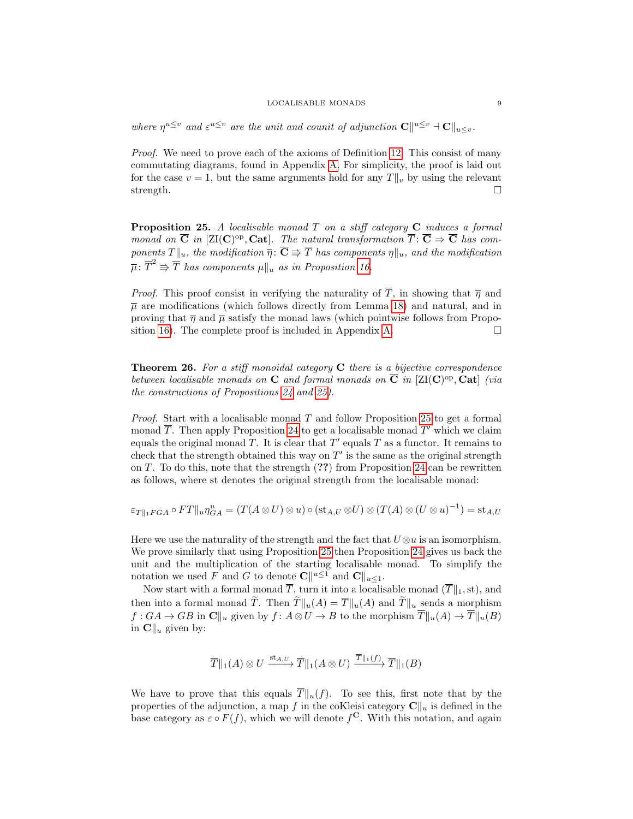#### LOCALISABLE MONADS 9

where  $\eta^{u\leq v}$  and  $\varepsilon^{u\leq v}$  are the unit and counit of adjunction  $\mathbf{C} \parallel^{u\leq v} \mathbf{C} \parallel_{u\leq v}$ .

Proof. We need to prove each of the axioms of Definition [12.](#page-3-3) This consist of many commutating diagrams, found in Appendix [A.](#page-17-5) For simplicity, the proof is laid out for the case  $v = 1$ , but the same arguments hold for any  $T\|_v$  by using the relevant strength.  $\square$ 

<span id="page-8-0"></span>**Proposition 25.** A localisable monad  $T$  on a stiff category  $C$  induces a formal monad on  $\overline{C}$  in [ZI(C)<sup>op</sup>, Cat]. The natural transformation  $\overline{T}$ :  $\overline{C} \Rightarrow \overline{C}$  has components  $T\|_u$ , the modification  $\overline{\eta}$ :  $\overline{\mathbf{C}} \Rrightarrow \overline{T}$  has components  $\eta\|_u$ , and the modification  $\overline{\mu}: \overline{T}^2 \Rrightarrow \overline{T}$  has components  $\mu||_u$  as in Proposition [16.](#page-4-7)

*Proof.* This proof consist in verifying the naturality of  $\overline{T}$ , in showing that  $\overline{\eta}$  and  $\bar{\mu}$  are modifications (which follows directly from Lemma [18\)](#page-5-1) and natural, and in proving that  $\bar{\eta}$  and  $\bar{\mu}$  satisfy the monad laws (which pointwise follows from Propo-sition [16\)](#page-4-7). The complete proof is included in Appendix [A.](#page-17-5)  $\square$ 

**Theorem 26.** For a stiff monoidal category  $C$  there is a bijective correspondence between localisable monads on C and formal monads on  $\overline{C}$  in [ZI(C)<sup>op</sup>, Cat] (via the constructions of Propositions [24](#page-7-1) and [25\)](#page-8-0).

*Proof.* Start with a localisable monad  $T$  and follow Proposition [25](#page-8-0) to get a formal monad  $\overline{T}$ . Then apply Proposition [24](#page-7-1) to get a localisable monad  $T'$  which we claim equals the original monad T. It is clear that  $T'$  equals T as a functor. It remains to check that the strength obtained this way on  $T'$  is the same as the original strength on  $T$ . To do this, note that the strength  $(?)$  from Proposition [24](#page-7-1) can be rewritten as follows, where st denotes the original strength from the localisable monad:

$$
\varepsilon_{T\|_1FGA}\circ FT\|_u\eta^u_{GA}=(T(A\otimes U)\otimes u)\circ (\text{st}_{A,U}\otimes U)\otimes (T(A)\otimes (U\otimes u)^{-1})=\text{st}_{A,U}
$$

Here we use the naturality of the strength and the fact that  $U\otimes u$  is an isomorphism. We prove similarly that using Proposition [25](#page-8-0) then Proposition [24](#page-7-1) gives us back the unit and the multiplication of the starting localisable monad. To simplify the notation we used F and G to denote  $\mathbf{C} \parallel^{u \leq 1}$  and  $\mathbf{C} \parallel_{u \leq 1}$ .

Now start with a formal monad  $\overline{T}$ , turn it into a localisable monad  $(\overline{T}\Vert_1, \operatorname{st})$ , and then into a formal monad  $\widetilde{T}$ . Then  $\widetilde{T}\|u(A) = \overline{T}\|u(A)$  and  $\widetilde{T}\|u$  sends a morphism  $f: GA \to GB$  in  $\mathbb{C}||_u$  given by  $f: A \otimes U \to B$  to the morphism  $\overline{T}||_u(A) \to \overline{T}||_u(B)$ in  $\mathbf{C} \parallel_u$  given by:

$$
\overline{T} \|_1(A) \otimes U \xrightarrow{\text{st}_{A,U}} \overline{T} \|_1(A \otimes U) \xrightarrow{\overline{T} \|_1(f)} \overline{T} \|_1(B)
$$

We have to prove that this equals  $\overline{T}||_u(f)$ . To see this, first note that by the properties of the adjunction, a map f in the coKleisi category  $\mathbf{C}\Vert_{u}$  is defined in the base category as  $\varepsilon \circ F(f)$ , which we will denote  $f^{\mathbf{C}}$ . With this notation, and again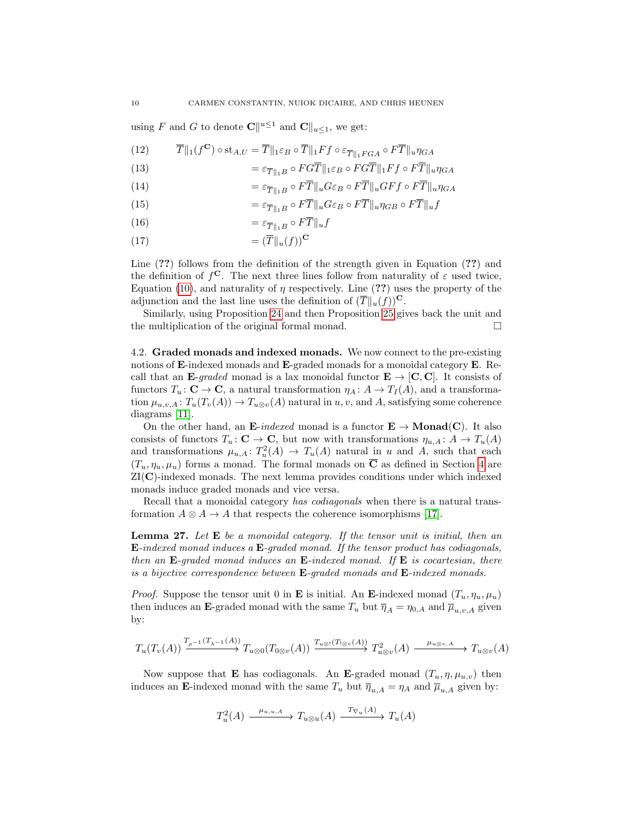using F and G to denote  $\mathbf{C} \parallel^{u \leq 1}$  and  $\mathbf{C} \parallel_{u \leq 1}$ , we get:

(12) 
$$
\overline{T} \|_{1}(f^{\mathbf{C}}) \circ \text{st}_{A,U} = \overline{T} \|_{1} \varepsilon_{B} \circ \overline{T} \|_{1} F f \circ \varepsilon_{\overline{T} \|_{1} F G A} \circ F \overline{T} \|_{u} \eta_{G A}
$$

(13) 
$$
= \varepsilon_{\overline{T}||_1B} \circ FGT||_1\varepsilon_B \circ FGT||_1Ff \circ FT||_u\eta_{GA}
$$

(14) 
$$
= \varepsilon_{\overline{T}||_1B} \circ F\overline{T}||_u G\varepsilon_B \circ F\overline{T}||_u GFf \circ F\overline{T}||_u \eta_{GA}
$$

(15) 
$$
= \varepsilon_{\overline{T} \|_1 B} \circ F \overline{T} \|_u G \varepsilon_B \circ F \overline{T} \|_u \eta_{GB} \circ F \overline{T} \|_u f
$$

$$
(16)\qquad \qquad =\varepsilon_{\overline{T}\parallel_1B}\circ F\overline{T}\parallel_uf
$$

$$
(17)\qquad \qquad =(\overline{T}\|_u(f))^\mathbf{C}
$$

Line  $(?)$  follows from the definition of the strength given in Equation  $(?)$  and the definition of  $f^{\mathbf{C}}$ . The next three lines follow from naturality of  $\varepsilon$  used twice, Equation [\(10\)](#page-7-2), and naturality of  $\eta$  respectively. Line (??) uses the property of the adjunction and the last line uses the definition of  $(\overline{T}\|_{u}(f))^{\mathbf{C}}$ .

Similarly, using Proposition [24](#page-7-1) and then Proposition [25](#page-8-0) gives back the unit and the multiplication of the original formal monad.

4.2. Graded monads and indexed monads. We now connect to the pre-existing notions of **E**-indexed monads and **E**-graded monads for a monoidal category **E**. Recall that an E-graded monad is a lax monoidal functor  $E \rightarrow [C, C]$ . It consists of functors  $T_u: \mathbf{C} \to \mathbf{C}$ , a natural transformation  $\eta_A: A \to T_I(A)$ , and a transformation  $\mu_{u,v,A}$ :  $T_u(T_v(A)) \to T_{u\otimes v}(A)$  natural in  $u, v$ , and A, satisfying some coherence diagrams [\[11\]](#page-16-6).

On the other hand, an E-indexed monad is a functor  $E \to \text{Monad}(C)$ . It also consists of functors  $T_u: \mathbf{C} \to \mathbf{C}$ , but now with transformations  $\eta_{u,A}: A \to T_u(A)$ and transformations  $\mu_{u,A}: T_u^2(A) \to T_u(A)$  natural in u and A, such that each  $(T_u, \eta_u, \mu_u)$  forms a monad. The formal monads on  $\overline{C}$  as defined in Section [4](#page-6-0) are ZI(C)-indexed monads. The next lemma provides conditions under which indexed monads induce graded monads and vice versa.

Recall that a monoidal category has codiagonals when there is a natural transformation  $A \otimes A \rightarrow A$  that respects the coherence isomorphisms [\[17\]](#page-16-14).

**Lemma 27.** Let  $E$  be a monoidal category. If the tensor unit is initial, then an E-indexed monad induces a E-graded monad. If the tensor product has codiagonals, then an E-graded monad induces an E-indexed monad. If E is cocartesian, there is a bijective correspondence between E-graded monads and E-indexed monads.

*Proof.* Suppose the tensor unit 0 in **E** is initial. An **E**-indexed monad  $(T_u, \eta_u, \mu_u)$ then induces an E-graded monad with the same  $T_u$  but  $\overline{\eta}_A = \eta_{0,A}$  and  $\overline{\mu}_{u,v,A}$  given by:

$$
T_u(T_v(A)) \xrightarrow{T_{\rho^{-1}}(T_{\lambda^{-1}}(A))} T_{u\otimes 0}(T_{0\otimes v}(A)) \xrightarrow{T_{u\otimes 1}(T_{1\otimes v}(A))} T_{u\otimes v}^2(A) \xrightarrow{\mu_{u\otimes v,A}} T_{u\otimes v}(A)
$$

Now suppose that **E** has codiagonals. An **E**-graded monad  $(T_u, \eta, \mu_{u,v})$  then induces an E-indexed monad with the same  $T_u$  but  $\overline{\eta}_{u,A} = \eta_A$  and  $\overline{\mu}_{u,A}$  given by:

$$
T_u^2(A) \xrightarrow{\mu_{u,u,A}} T_{u\otimes u}(A) \xrightarrow{T_{\nabla u}(A)} T_u(A)
$$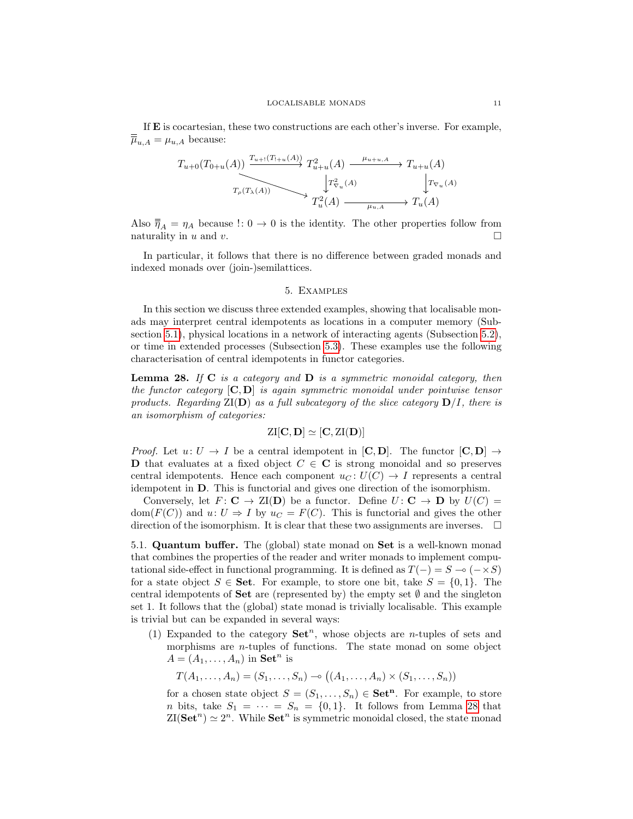If E is cocartesian, these two constructions are each other's inverse. For example,  $\overline{\overline{\mu}}_{u,A} = \mu_{u,A}$  because:

$$
T_{u+0}(T_{0+u}(A)) \xrightarrow{T_{u+1}(T_{1+u}(A))} T_{u+u}^2(A) \xrightarrow{\mu_{u+u,A}} T_{u+u}(A)
$$
  

$$
T_{\rho}(T_{\lambda}(A)) \xrightarrow{\downarrow} T_{u}^2(A) \xrightarrow{\mu_{u,A}} T_u(A)
$$
  

$$
T_u^2(A) \xrightarrow{\mu_{u,A}} T_u(A)
$$

Also  $\overline{\eta}_A = \eta_A$  because  $\eta: 0 \to 0$  is the identity. The other properties follow from naturality in  $u$  and  $v$ .

In particular, it follows that there is no difference between graded monads and indexed monads over (join-)semilattices.

#### 5. Examples

<span id="page-10-0"></span>In this section we discuss three extended examples, showing that localisable monads may interpret central idempotents as locations in a computer memory (Subsection [5.1\)](#page-10-1), physical locations in a network of interacting agents (Subsection [5.2\)](#page-11-0), or time in extended processes (Subsection [5.3\)](#page-13-1). These examples use the following characterisation of central idempotents in functor categories.

<span id="page-10-2"></span>**Lemma 28.** If  $C$  is a category and  $D$  is a symmetric monoidal category, then the functor category  $[C, D]$  is again symmetric monoidal under pointwise tensor products. Regarding  $ZI(D)$  as a full subcategory of the slice category  $D/I$ , there is an isomorphism of categories:

$$
\mathrm{ZI}[C,D] \simeq [C,\mathrm{ZI}(D)]
$$

*Proof.* Let  $u: U \to I$  be a central idempotent in  $[C, D]$ . The functor  $[C, D] \to$ **D** that evaluates at a fixed object  $C \in \mathbb{C}$  is strong monoidal and so preserves central idempotents. Hence each component  $u_C: U(C) \to I$  represents a central idempotent in D. This is functorial and gives one direction of the isomorphism.

Conversely, let  $F: \mathbf{C} \to \mathbf{ZI}(\mathbf{D})$  be a functor. Define  $U: \mathbf{C} \to \mathbf{D}$  by  $U(C) =$ dom( $F(C)$ ) and  $u: U \Rightarrow I$  by  $u_C = F(C)$ . This is functorial and gives the other direction of the isomorphism. It is clear that these two assignments are inverses.  $\Box$ 

<span id="page-10-1"></span>5.1. Quantum buffer. The (global) state monad on Set is a well-known monad that combines the properties of the reader and writer monads to implement computational side-effect in functional programming. It is defined as  $T(-) = S - (-\times S)$ for a state object  $S \in \mathbf{Set}$ . For example, to store one bit, take  $S = \{0, 1\}$ . The central idempotents of **Set** are (represented by) the empty set  $\emptyset$  and the singleton set 1. It follows that the (global) state monad is trivially localisable. This example is trivial but can be expanded in several ways:

(1) Expanded to the category  $\mathbf{Set}^n$ , whose objects are *n*-tuples of sets and morphisms are  $n$ -tuples of functions. The state monad on some object  $A = (A_1, \ldots, A_n)$  in  $\mathbf{Set}^n$  is

$$
T(A_1, ..., A_n) = (S_1, ..., S_n) \negthinspace \negthinspace \negthinspace \negthinspace \negthinspace ( (A_1, ..., A_n) \times (S_1, ..., S_n))
$$

for a chosen state object  $S = (S_1, \ldots, S_n) \in \mathbf{Set}^n$ . For example, to store *n* bits, take  $S_1 = \cdots = S_n = \{0,1\}$ . It follows from Lemma [28](#page-10-2) that  $ZI(\mathbf{Set}^n) \simeq 2^n$ . While  $\mathbf{Set}^n$  is symmetric monoidal closed, the state monad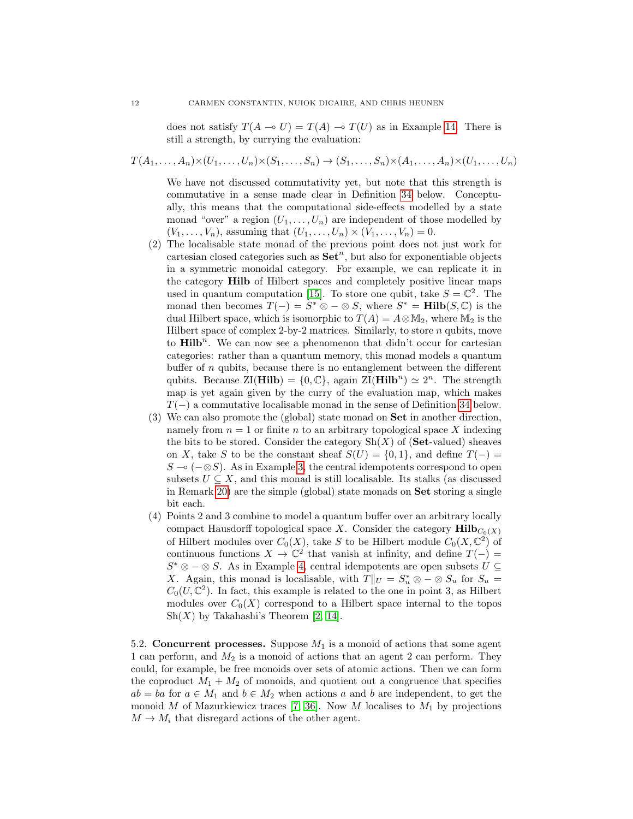does not satisfy  $T(A \to U) = T(A) \to T(U)$  as in Example [14.](#page-4-4) There is still a strength, by currying the evaluation:

$$
T(A_1, \ldots, A_n) \times (U_1, \ldots, U_n) \times (S_1, \ldots, S_n) \to (S_1, \ldots, S_n) \times (A_1, \ldots, A_n) \times (U_1, \ldots, U_n)
$$

We have not discussed commutativity yet, but note that this strength is commutative in a sense made clear in Definition [34](#page-15-1) below. Conceptually, this means that the computational side-effects modelled by a state monad "over" a region  $(U_1, \ldots, U_n)$  are independent of those modelled by  $(V_1, ..., V_n)$ , assuming that  $(U_1, ..., U_n) \times (V_1, ..., V_n) = 0$ .

- (2) The localisable state monad of the previous point does not just work for cartesian closed categories such as  $\mathbf{Set}^n$ , but also for exponentiable objects in a symmetric monoidal category. For example, we can replicate it in the category Hilb of Hilbert spaces and completely positive linear maps used in quantum computation [\[15\]](#page-16-12). To store one qubit, take  $S = \mathbb{C}^2$ . The monad then becomes  $T(-) = S^* \otimes - \otimes S$ , where  $S^* = \textbf{Hilb}(S, \mathbb{C})$  is the dual Hilbert space, which is isomorphic to  $T(A) = A \otimes M_2$ , where  $M_2$  is the Hilbert space of complex 2-by-2 matrices. Similarly, to store  $n$  qubits, move to  $\text{Hilb}^n$ . We can now see a phenomenon that didn't occur for cartesian categories: rather than a quantum memory, this monad models a quantum buffer of  $n$  qubits, because there is no entanglement between the different qubits. Because  $\text{ZI}(\text{Hilb}) = \{0, \mathbb{C}\},$  again  $\text{ZI}(\text{Hilb}^n) \simeq 2^n$ . The strength map is yet again given by the curry of the evaluation map, which makes  $T(-)$  a commutative localisable monad in the sense of Definition [34](#page-15-1) below.
- (3) We can also promote the (global) state monad on Set in another direction, namely from  $n = 1$  or finite n to an arbitrary topological space X indexing the bits to be stored. Consider the category  $\mathrm{Sh}(X)$  of (Set-valued) sheaves on X, take S to be the constant sheaf  $S(U) = \{0,1\}$ , and define  $T(-) =$  $S \sim (-\otimes S)$ . As in Example [3,](#page-2-0) the central idempotents correspond to open subsets  $U \subseteq X$ , and this monad is still localisable. Its stalks (as discussed in Remark [20\)](#page-6-1) are the simple (global) state monads on  $\mathbf{Set}$  storing a single bit each.
- (4) Points 2 and 3 combine to model a quantum buffer over an arbitrary locally compact Hausdorff topological space X. Consider the category  $\text{Hilb}_{C_0(X)}$ of Hilbert modules over  $C_0(X)$ , take S to be Hilbert module  $C_0(X, \mathbb{C}^2)$  of continuous functions  $X \to \mathbb{C}^2$  that vanish at infinity, and define  $T(-) =$  $S^* \otimes - \otimes S$ . As in Example [4,](#page-2-3) central idempotents are open subsets  $U \subseteq$ X. Again, this monad is localisable, with  $T||_U = S_u^* \otimes - \otimes S_u$  for  $S_u =$  $C_0(U, \mathbb{C}^2)$ . In fact, this example is related to the one in point 3, as Hilbert modules over  $C_0(X)$  correspond to a Hilbert space internal to the topos  $\mathrm{Sh}(X)$  by Takahashi's Theorem [\[2,](#page-16-9) [14\]](#page-16-17).

<span id="page-11-0"></span>5.2. Concurrent processes. Suppose  $M_1$  is a monoid of actions that some agent 1 can perform, and  $M_2$  is a monoid of actions that an agent 2 can perform. They could, for example, be free monoids over sets of atomic actions. Then we can form the coproduct  $M_1 + M_2$  of monoids, and quotient out a congruence that specifies  $ab = ba$  for  $a \in M_1$  and  $b \in M_2$  when actions a and b are independent, to get the monoid M of Mazurkiewicz traces [\[7,](#page-16-18) [36\]](#page-17-6). Now M localises to  $M_1$  by projections  $M \to M_i$  that disregard actions of the other agent.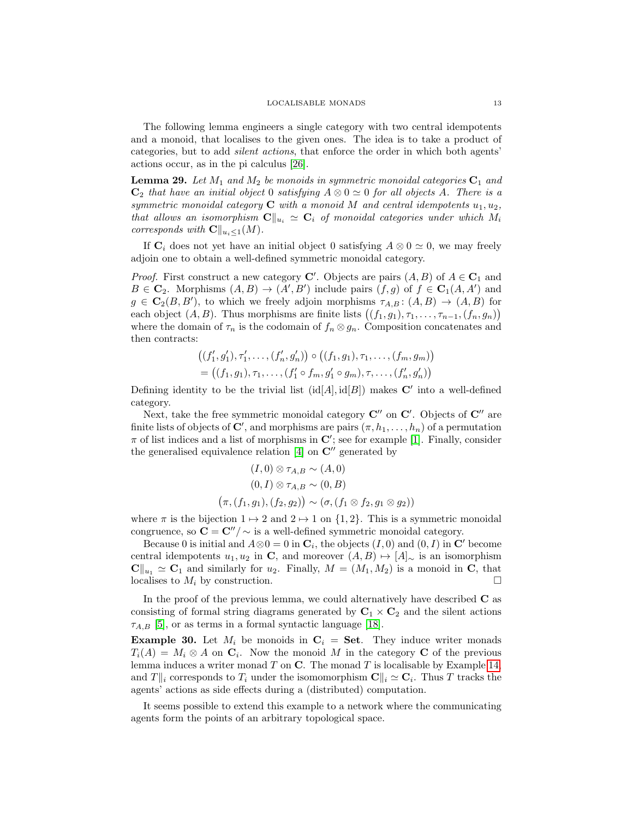The following lemma engineers a single category with two central idempotents and a monoid, that localises to the given ones. The idea is to take a product of categories, but to add silent actions, that enforce the order in which both agents' actions occur, as in the pi calculus [\[26\]](#page-16-19).

<span id="page-12-0"></span>**Lemma 29.** Let  $M_1$  and  $M_2$  be monoids in symmetric monoidal categories  $C_1$  and  $C_2$  that have an initial object 0 satisfying  $A \otimes 0 \simeq 0$  for all objects A. There is a symmetric monoidal category  $C$  with a monoid M and central idempotents  $u_1, u_2$ , that allows an isomorphism  $\mathbf{C}\|_{u_i} \simeq \mathbf{C}_i$  of monoidal categories under which  $M_i$ corresponds with  $\mathbf{C}\|_{u_i\leq 1}(M)$ .

If  $\mathbf{C}_i$  does not yet have an initial object 0 satisfying  $A \otimes 0 \simeq 0$ , we may freely adjoin one to obtain a well-defined symmetric monoidal category.

*Proof.* First construct a new category **C'**. Objects are pairs  $(A, B)$  of  $A \in \mathbb{C}_1$  and  $B \in \mathbf{C}_2$ . Morphisms  $(A, B) \to (A', B')$  include pairs  $(f, g)$  of  $f \in \mathbf{C}_1(A, A')$  and  $g \in \mathbf{C}_2(B, B')$ , to which we freely adjoin morphisms  $\tau_{A,B}: (A, B) \to (A, B)$  for each object  $(A, B)$ . Thus morphisms are finite lists  $((f_1, g_1), \tau_1, \ldots, \tau_{n-1}, (f_n, g_n))$ where the domain of  $\tau_n$  is the codomain of  $f_n \otimes g_n$ . Composition concatenates and then contracts:

$$
((f'_1, g'_1), \tau'_1, \ldots, (f'_n, g'_n)) \circ ((f_1, g_1), \tau_1, \ldots, (f_m, g_m))
$$
  
= ((f\_1, g\_1), \tau\_1, \ldots, (f'\_1 \circ f\_m, g'\_1 \circ g\_m), \tau, \ldots, (f'\_n, g'\_n))

Defining identity to be the trivial list  $(id[A], id[B])$  makes C' into a well-defined category.

Next, take the free symmetric monoidal category  $\mathbf{C}''$  on  $\mathbf{C}'$ . Objects of  $\mathbf{C}''$  are finite lists of objects of  $\mathbf{C}'$ , and morphisms are pairs  $(\pi, h_1, \ldots, h_n)$  of a permutation  $\pi$  of list indices and a list of morphisms in  $\mathbb{C}'$ ; see for example [\[1\]](#page-15-2). Finally, consider the generalised equivalence relation  $[4]$  on  $\mathbb{C}^{\prime\prime}$  generated by

$$
(I,0) \otimes \tau_{A,B} \sim (A,0)
$$
  

$$
(0,I) \otimes \tau_{A,B} \sim (0,B)
$$
  

$$
(\pi,(f_1,g_1),(f_2,g_2)) \sim (\sigma,(f_1 \otimes f_2,g_1 \otimes g_2))
$$

where  $\pi$  is the bijection  $1 \mapsto 2$  and  $2 \mapsto 1$  on  $\{1, 2\}$ . This is a symmetric monoidal congruence, so  $C = C''/\sim$  is a well-defined symmetric monoidal category.

Because 0 is initial and  $A \otimes 0 = 0$  in  $\mathbf{C}_i$ , the objects  $(I, 0)$  and  $(0, I)$  in  $\mathbf{C}'$  become central idempotents  $u_1, u_2$  in C, and moreover  $(A, B) \mapsto [A]_{\sim}$  is an isomorphism  $\mathbf{C} \|_{u_1} \simeq \mathbf{C}_1$  and similarly for  $u_2$ . Finally,  $M = (M_1, M_2)$  is a monoid in C, that localises to  $M_i$  by construction.

In the proof of the previous lemma, we could alternatively have described  $C$  as consisting of formal string diagrams generated by  $C_1 \times C_2$  and the silent actions  $\tau_{A,B}$  [\[5\]](#page-16-21), or as terms in a formal syntactic language [\[18\]](#page-16-22).

**Example 30.** Let  $M_i$  be monoids in  $C_i$  = **Set**. They induce writer monads  $T_i(A) = M_i \otimes A$  on  $\mathbf{C}_i$ . Now the monoid M in the category C of the previous lemma induces a writer monad  $T$  on  $C$ . The monad  $T$  is localisable by Example [14,](#page-4-4) and  $T||_i$  corresponds to  $T_i$  under the isomomorphism  $\mathbf{C}||_i \simeq \mathbf{C}_i$ . Thus T tracks the agents' actions as side effects during a (distributed) computation.

It seems possible to extend this example to a network where the communicating agents form the points of an arbitrary topological space.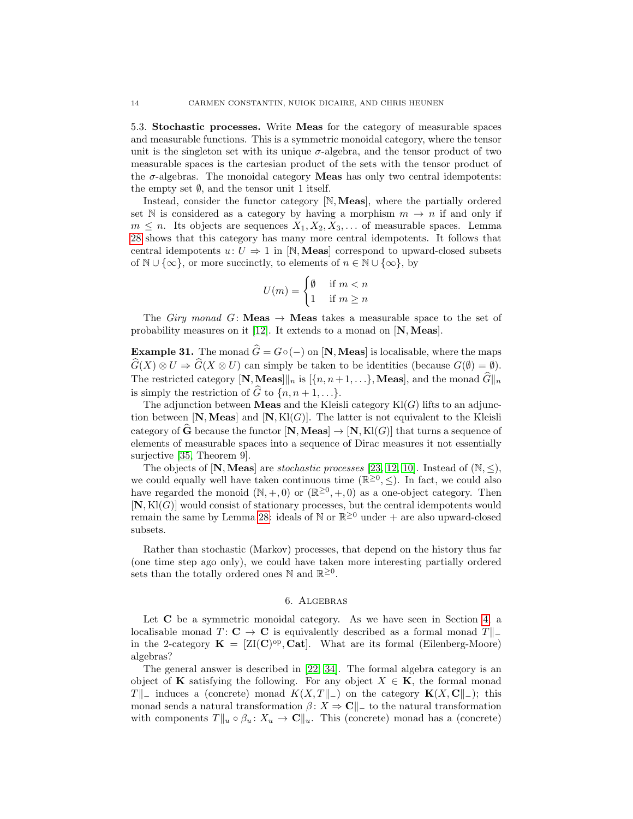<span id="page-13-1"></span>5.3. Stochastic processes. Write Meas for the category of measurable spaces and measurable functions. This is a symmetric monoidal category, where the tensor unit is the singleton set with its unique  $\sigma$ -algebra, and the tensor product of two measurable spaces is the cartesian product of the sets with the tensor product of the  $\sigma$ -algebras. The monoidal category **Meas** has only two central idempotents: the empty set  $\emptyset$ , and the tensor unit 1 itself.

Instead, consider the functor category [N, Meas], where the partially ordered set N is considered as a category by having a morphism  $m \to n$  if and only if  $m \leq n$ . Its objects are sequences  $X_1, X_2, X_3, \ldots$  of measurable spaces. Lemma [28](#page-10-2) shows that this category has many more central idempotents. It follows that central idempotents  $u: U \Rightarrow 1$  in [N, **Meas**] correspond to upward-closed subsets of  $\mathbb{N} \cup \{\infty\}$ , or more succinctly, to elements of  $n \in \mathbb{N} \cup \{\infty\}$ , by

$$
U(m) = \begin{cases} \emptyset & \text{if } m < n \\ 1 & \text{if } m \ge n \end{cases}
$$

The Giry monad G: **Meas**  $\rightarrow$  **Meas** takes a measurable space to the set of probability measures on it [\[12\]](#page-16-23). It extends to a monad on  $[N,Meas]$ .

**Example 31.** The monad  $\hat{G} = G \circ (-)$  on [N, Meas] is localisable, where the maps  $\widehat{G}(X) \otimes U \Rightarrow \widehat{G}(X \otimes U)$  can simply be taken to be identities (because  $G(\emptyset) = \emptyset$ ). The restricted category  $[N, \text{Meas}]]_n$  is  $[\{n, n+1, \ldots\}, \text{Meas}],$  and the monad  $\widehat{G}\|_n$ is simply the restriction of  $\widehat{G}$  to  $\{n, n + 1, ...\}$ .

The adjunction between **Meas** and the Kleisli category  $\text{Kl}(G)$  lifts to an adjunction between  $[N,Meas]$  and  $[N,K](G)$ . The latter is not equivalent to the Kleisli category of  $\widehat{G}$  because the functor  $[N,Meas] \to [N,Kl(G)]$  that turns a sequence of elements of measurable spaces into a sequence of Dirac measures it not essentially surjective [\[35,](#page-17-7) Theorem 9].

The objects of  $[N,Meas]$  are *stochastic processes* [\[23,](#page-16-24) [12,](#page-16-23) [10\]](#page-16-25). Instead of  $(N, \leq)$ , we could equally well have taken continuous time  $(\mathbb{R}^{\geq 0}, \leq)$ . In fact, we could also have regarded the monoid  $(N, +, 0)$  or  $(\mathbb{R}^{\geq 0}, +, 0)$  as a one-object category. Then  $[N, Kl(G)]$  would consist of stationary processes, but the central idempotents would remain the same by Lemma [28:](#page-10-2) ideals of  $\mathbb{N}$  or  $\mathbb{R}^{\geq 0}$  under + are also upward-closed subsets.

Rather than stochastic (Markov) processes, that depend on the history thus far (one time step ago only), we could have taken more interesting partially ordered sets than the totally ordered ones  $\mathbb N$  and  $\mathbb R^{\geq 0}$ .

#### 6. Algebras

<span id="page-13-0"></span>Let  $C$  be a symmetric monoidal category. As we have seen in Section [4,](#page-6-0) a localisable monad  $T: \mathbf{C} \to \mathbf{C}$  is equivalently described as a formal monad  $T\mathbf{L}$ in the 2-category  $\mathbf{K} = [ZI(\mathbf{C})^{\text{op}}, \mathbf{Cat}]$ . What are its formal (Eilenberg-Moore) algebras?

The general answer is described in [\[22,](#page-16-26) [34\]](#page-17-4). The formal algebra category is an object of **K** satisfying the following. For any object  $X \in \mathbf{K}$ , the formal monad T<sup>||</sup> induces a (concrete) monad K(X, T||-) on the category **K**(X, C||-); this monad sends a natural transformation  $\beta: X \to \mathbb{C}^n$  to the natural transformation with components  $T\|_u \circ \beta_u : X_u \to \mathbb{C}\|_u$ . This (concrete) monad has a (concrete)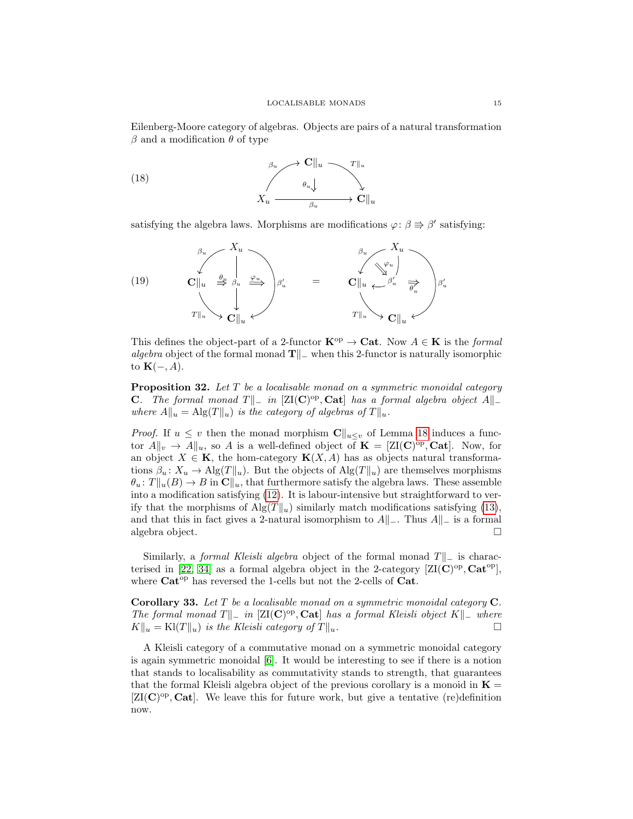Eilenberg-Moore category of algebras. Objects are pairs of a natural transformation  $β$  and a modification  $θ$  of type

(18) 
$$
\begin{array}{ccc}\n & \beta_u & \rightarrow & \mathbf{C} \Vert_u & \xrightarrow{\gamma} \Vert_u \\
 & \beta_u & \downarrow & \downarrow \\
 & X_u & \xrightarrow{\beta_u} & \rightarrow & \mathbf{C} \Vert_u\n\end{array}
$$

satisfying the algebra laws. Morphisms are modifications  $\varphi: \beta \Rightarrow \beta'$  satisfying:



This defines the object-part of a 2-functor  $\mathbf{K}^{\mathrm{op}} \to \mathbf{Cat}$ . Now  $A \in \mathbf{K}$  is the *formal* algebra object of the formal monad  $T||_$  when this 2-functor is naturally isomorphic to  $\mathbf{K}(-, A)$ .

**Proposition 32.** Let  $T$  be a localisable monad on a symmetric monoidal category C. The formal monad T $\|\_$  in [ZI(C)<sup>op</sup>, Cat] has a formal algebra object A $\|\_$ where  $A\|u = \text{Alg}(T\|u)$  is the category of algebras of  $T\|u$ .

*Proof.* If  $u \leq v$  then the monad morphism  $\mathbb{C}\|_{u \leq v}$  of Lemma [18](#page-5-1) induces a functor  $A\|_v \to A\|_u$ , so A is a well-defined object of  $\mathbf{K} = [ZI(\mathbf{C})^{\text{op}}, \mathbf{Cat}]$ . Now, for an object  $X \in \mathbf{K}$ , the hom-category  $\mathbf{K}(X, A)$  has as objects natural transformations  $\beta_u: X_u \to \mathrm{Alg}(T||_u)$ . But the objects of  $\mathrm{Alg}(T||_u)$  are themselves morphisms  $\theta_u: T||_u(B) \to B$  in  $\mathbb{C}||_u$ , that furthermore satisfy the algebra laws. These assemble into a modification satisfying [\(12\)](#page-0-0). It is labour-intensive but straightforward to verify that the morphisms of  $\text{Alg}(T\vert_{u})$  similarly match modifications satisfying [\(13\)](#page-0-0), and that this in fact gives a 2-natural isomorphism to  $A||_-.$  Thus  $A||_-.$  is a formal algebra object.

Similarly, a *formal Kleisli algebra* object of the formal monad  $T||_$  is charac-terised in [\[22,](#page-16-26) [34\]](#page-17-4) as a formal algebra object in the 2-category  $[\text{ZI}(\mathbf{C})^{\text{op}}, \mathbf{Cat}^{\text{op}}]$ , where  $Cat^{op}$  has reversed the 1-cells but not the 2-cells of  $Cat$ .

<span id="page-14-0"></span>Corollary 33. Let  $T$  be a localisable monad on a symmetric monoidal category  $C$ . The formal monad T $\|\_$  in [ZI(C)<sup>op</sup>, Cat] has a formal Kleisli object K $\|\_$  where  $K\|u = \mathrm{Kl}(T\|u)$  is the Kleisli category of  $T\|u$ .

A Kleisli category of a commutative monad on a symmetric monoidal category is again symmetric monoidal [\[6\]](#page-16-27). It would be interesting to see if there is a notion that stands to localisability as commutativity stands to strength, that guarantees that the formal Kleisli algebra object of the previous corollary is a monoid in  $\mathbf{K} =$  $[ZI(\mathbf{C})^{\text{op}}, \mathbf{Cat}]$ . We leave this for future work, but give a tentative (re)definition now.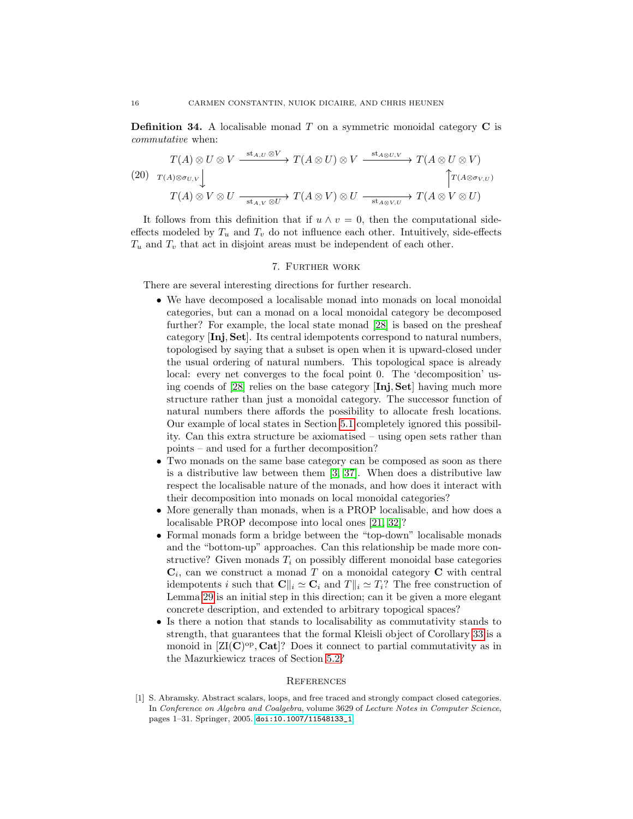<span id="page-15-1"></span>**Definition 34.** A localisable monad  $T$  on a symmetric monoidal category  $C$  is commutative when:

$$
(20) \quad T(A) \otimes U \otimes V \xrightarrow{\text{st}_{A,U} \otimes V} T(A \otimes U) \otimes V \xrightarrow{\text{st}_{A \otimes U,V}} T(A \otimes U \otimes V)
$$
\n
$$
(20) \quad T(A) \otimes \sigma_{U,V} \downarrow \qquad \qquad \uparrow T(A \otimes V) \otimes U \xrightarrow{\text{st}_{A,V} \otimes U} T(A \otimes V) \otimes U \xrightarrow{\text{st}_{A \otimes V,U}} T(A \otimes V \otimes U)
$$

It follows from this definition that if  $u \wedge v = 0$ , then the computational sideeffects modeled by  $T_u$  and  $T_v$  do not influence each other. Intuitively, side-effects  $T_u$  and  $T_v$  that act in disjoint areas must be independent of each other.

## 7. Further work

<span id="page-15-0"></span>There are several interesting directions for further research.

- We have decomposed a localisable monad into monads on local monoidal categories, but can a monad on a local monoidal category be decomposed further? For example, the local state monad [\[28\]](#page-16-3) is based on the presheaf category [Inj, Set]. Its central idempotents correspond to natural numbers, topologised by saying that a subset is open when it is upward-closed under the usual ordering of natural numbers. This topological space is already local: every net converges to the focal point 0. The 'decomposition' using coends of [\[28\]](#page-16-3) relies on the base category [Inj, Set] having much more structure rather than just a monoidal category. The successor function of natural numbers there affords the possibility to allocate fresh locations. Our example of local states in Section [5.1](#page-10-1) completely ignored this possibility. Can this extra structure be axiomatised – using open sets rather than points – and used for a further decomposition?
- Two monads on the same base category can be composed as soon as there is a distributive law between them [\[3,](#page-16-5) [37\]](#page-17-0). When does a distributive law respect the localisable nature of the monads, and how does it interact with their decomposition into monads on local monoidal categories?
- More generally than monads, when is a PROP localisable, and how does a localisable PROP decompose into local ones [\[21,](#page-16-28) [32\]](#page-17-1)?
- Formal monads form a bridge between the "top-down" localisable monads and the "bottom-up" approaches. Can this relationship be made more constructive? Given monads  $T_i$  on possibly different monoidal base categories  $\mathbf{C}_i$ , can we construct a monad T on a monoidal category C with central idempotents i such that  $\mathbf{C} \parallel_i \cong \mathbf{C}_i$  and  $T \parallel_i \cong T_i$ ? The free construction of Lemma [29](#page-12-0) is an initial step in this direction; can it be given a more elegant concrete description, and extended to arbitrary topogical spaces?
- Is there a notion that stands to localisability as commutativity stands to strength, that guarantees that the formal Kleisli object of Corollary [33](#page-14-0) is a monoid in  $[\text{ZI}(\mathbf{C})^{\text{op}}, \mathbf{Cat}]$ ? Does it connect to partial commutativity as in the Mazurkiewicz traces of Section [5.2?](#page-11-0)

#### **REFERENCES**

<span id="page-15-2"></span><sup>[1]</sup> S. Abramsky. Abstract scalars, loops, and free traced and strongly compact closed categories. In Conference on Algebra and Coalgebra, volume 3629 of Lecture Notes in Computer Science, pages 1–31. Springer, 2005. [doi:10.1007/11548133\\_1](https://doi.org/10.1007/11548133_1).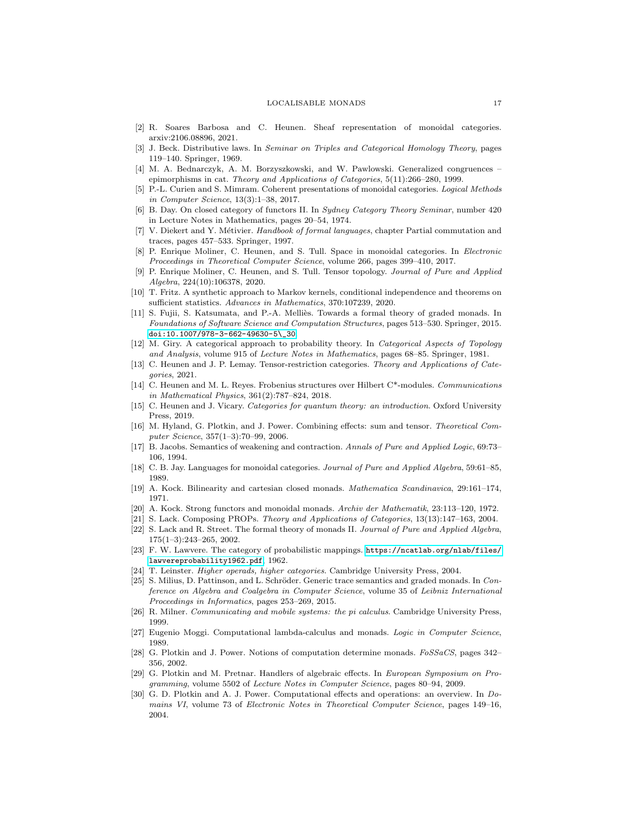#### LOCALISABLE MONADS 17

- <span id="page-16-9"></span>[2] R. Soares Barbosa and C. Heunen. Sheaf representation of monoidal categories. arxiv:2106.08896, 2021.
- <span id="page-16-5"></span>[3] J. Beck. Distributive laws. In Seminar on Triples and Categorical Homology Theory, pages 119–140. Springer, 1969.
- <span id="page-16-20"></span>[4] M. A. Bednarczyk, A. M. Borzyszkowski, and W. Pawlowski. Generalized congruences – epimorphisms in cat. Theory and Applications of Categories, 5(11):266–280, 1999.
- <span id="page-16-21"></span>[5] P.-L. Curien and S. Mimram. Coherent presentations of monoidal categories. Logical Methods in Computer Science, 13(3):1–38, 2017.
- <span id="page-16-27"></span>[6] B. Day. On closed category of functors II. In Sydney Category Theory Seminar, number 420 in Lecture Notes in Mathematics, pages 20–54, 1974.
- <span id="page-16-18"></span>[7] V. Diekert and Y. Métivier. Handbook of formal languages, chapter Partial commutation and traces, pages 457–533. Springer, 1997.
- <span id="page-16-10"></span>[8] P. Enrique Moliner, C. Heunen, and S. Tull. Space in monoidal categories. In Electronic Proceedings in Theoretical Computer Science, volume 266, pages 399–410, 2017.
- <span id="page-16-8"></span>[9] P. Enrique Moliner, C. Heunen, and S. Tull. Tensor topology. Journal of Pure and Applied Algebra, 224(10):106378, 2020.
- <span id="page-16-25"></span>[10] T. Fritz. A synthetic approach to Markov kernels, conditional independence and theorems on sufficient statistics. Advances in Mathematics, 370:107239, 2020.
- <span id="page-16-6"></span>[11] S. Fujii, S. Katsumata, and P.-A. Melliès. Towards a formal theory of graded monads. In Foundations of Software Science and Computation Structures, pages 513–530. Springer, 2015. [doi:10.1007/978-3-662-49630-5\\\_30](https://doi.org/10.1007/978-3-662-49630-5_30).
- <span id="page-16-23"></span>[12] M. Giry. A categorical approach to probability theory. In Categorical Aspects of Topology and Analysis, volume 915 of Lecture Notes in Mathematics, pages 68–85. Springer, 1981.
- <span id="page-16-11"></span>[13] C. Heunen and J. P. Lemay. Tensor-restriction categories. Theory and Applications of Categories, 2021.
- <span id="page-16-17"></span>[14] C. Heunen and M. L. Reyes. Frobenius structures over Hilbert C\*-modules. Communications in Mathematical Physics, 361(2):787–824, 2018.
- <span id="page-16-12"></span>[15] C. Heunen and J. Vicary. Categories for quantum theory: an introduction. Oxford University Press, 2019.
- <span id="page-16-4"></span>[16] M. Hyland, G. Plotkin, and J. Power. Combining effects: sum and tensor. Theoretical Computer Science, 357(1–3):70–99, 2006.
- <span id="page-16-14"></span>[17] B. Jacobs. Semantics of weakening and contraction. Annals of Pure and Applied Logic, 69:73– 106, 1994.
- <span id="page-16-22"></span>[18] C. B. Jay. Languages for monoidal categories. Journal of Pure and Applied Algebra, 59:61–85, 1989.
- <span id="page-16-15"></span>[19] A. Kock. Bilinearity and cartesian closed monads. Mathematica Scandinavica, 29:161–174, 1971.
- <span id="page-16-13"></span>[20] A. Kock. Strong functors and monoidal monads. Archiv der Mathematik, 23:113–120, 1972.
- <span id="page-16-28"></span><span id="page-16-26"></span>[21] S. Lack. Composing PROPs. Theory and Applications of Categories, 13(13):147–163, 2004. [22] S. Lack and R. Street. The formal theory of monads II. Journal of Pure and Applied Algebra, 175(1–3):243–265, 2002.
- <span id="page-16-24"></span>[23] F. W. Lawvere. The category of probabilistic mappings. [https://ncatlab.org/nlab/files/](https://ncatlab.org/nlab/files/lawvereprobability1962.pdf) [lawvereprobability1962.pdf](https://ncatlab.org/nlab/files/lawvereprobability1962.pdf), 1962.
- <span id="page-16-16"></span>[24] T. Leinster. Higher operads, higher categories. Cambridge University Press, 2004.
- <span id="page-16-7"></span>[25] S. Milius, D. Pattinson, and L. Schröder. Generic trace semantics and graded monads. In Conference on Algebra and Coalgebra in Computer Science, volume 35 of Leibniz International Proceedings in Informatics, pages 253–269, 2015.
- <span id="page-16-19"></span>[26] R. Milner. Communicating and mobile systems: the pi calculus. Cambridge University Press, 1999.
- <span id="page-16-2"></span>[27] Eugenio Moggi. Computational lambda-calculus and monads. Logic in Computer Science, 1989.
- <span id="page-16-3"></span>[28] G. Plotkin and J. Power. Notions of computation determine monads. FoSSaCS, pages 342– 356, 2002.
- <span id="page-16-1"></span>[29] G. Plotkin and M. Pretnar. Handlers of algebraic effects. In European Symposium on Programming, volume 5502 of Lecture Notes in Computer Science, pages 80–94, 2009.
- <span id="page-16-0"></span>[30] G. D. Plotkin and A. J. Power. Computational effects and operations: an overview. In Domains VI, volume 73 of Electronic Notes in Theoretical Computer Science, pages 149–16, 2004.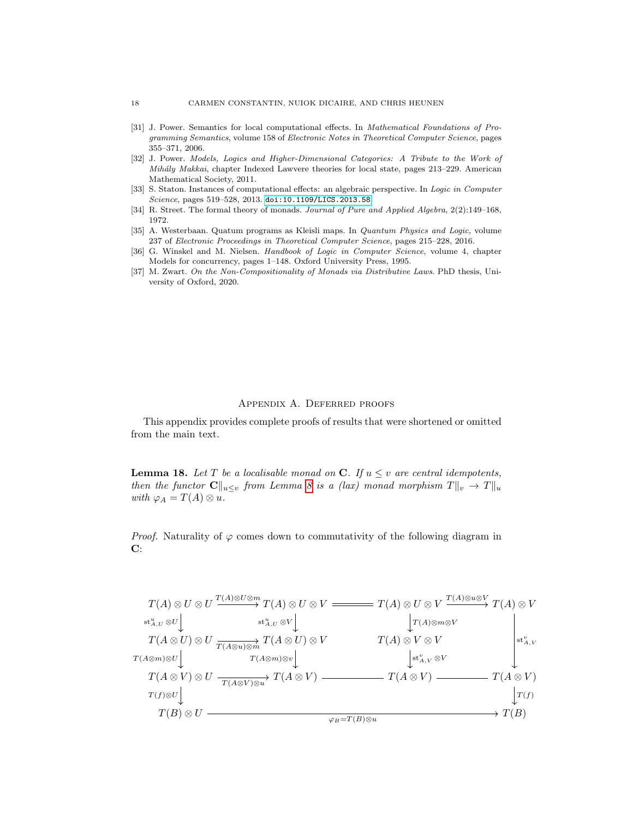- <span id="page-17-2"></span>[31] J. Power. Semantics for local computational effects. In Mathematical Foundations of Programming Semantics, volume 158 of Electronic Notes in Theoretical Computer Science, pages 355–371, 2006.
- <span id="page-17-1"></span>[32] J. Power. Models, Logics and Higher-Dimensional Categories: A Tribute to the Work of Mihály Makkai, chapter Indexed Lawvere theories for local state, pages 213–229. American Mathematical Society, 2011.
- <span id="page-17-3"></span>[33] S. Staton. Instances of computational effects: an algebraic perspective. In Logic in Computer Science, pages 519-528, 2013. [doi:10.1109/LICS.2013.58](https://doi.org/10.1109/LICS.2013.58).
- <span id="page-17-4"></span>[34] R. Street. The formal theory of monads. Journal of Pure and Applied Algebra, 2(2):149–168, 1972.
- <span id="page-17-7"></span>[35] A. Westerbaan. Quatum programs as Kleisli maps. In Quantum Physics and Logic, volume 237 of Electronic Proceedings in Theoretical Computer Science, pages 215–228, 2016.
- <span id="page-17-6"></span>[36] G. Winskel and M. Nielsen. Handbook of Logic in Computer Science, volume 4, chapter Models for concurrency, pages 1–148. Oxford University Press, 1995.
- <span id="page-17-0"></span>[37] M. Zwart. On the Non-Compositionality of Monads via Distributive Laws. PhD thesis, University of Oxford, 2020.

## Appendix A. Deferred proofs

<span id="page-17-5"></span>This appendix provides complete proofs of results that were shortened or omitted from the main text.

**Lemma 18.** Let T be a localisable monad on C. If  $u \leq v$  are central idempotents, then the functor  $\mathbf{C}\|_{u\leq v}$  from Lemma [8](#page-2-2) is a (lax) monad morphism  $T\|_{v} \to T\|_{u}$ with  $\varphi_A = T(A) \otimes u$ .

*Proof.* Naturality of  $\varphi$  comes down to commutativity of the following diagram in C:

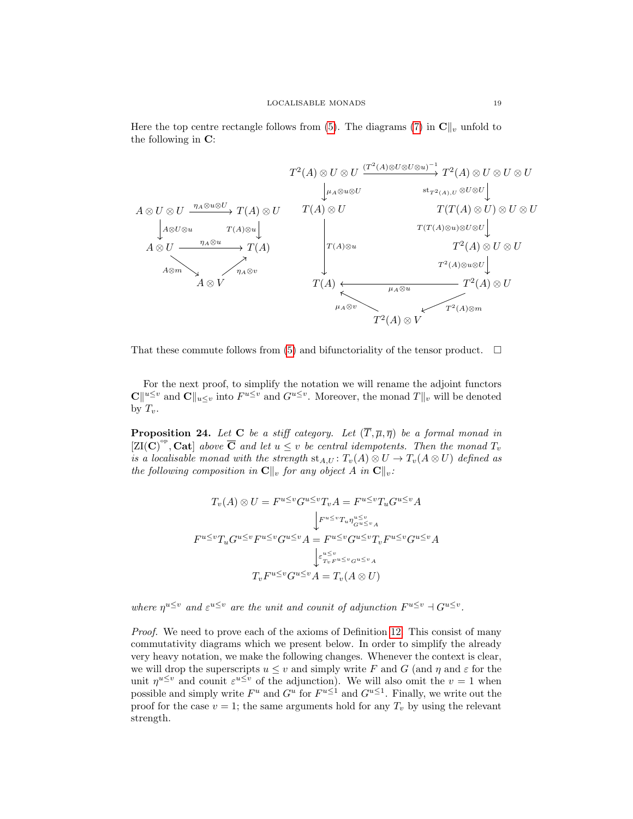Here the top centre rectangle follows from [\(5\)](#page-4-0). The diagrams [\(7\)](#page-5-0) in  $\mathbf{C}\|_v$  unfold to the following in C:



That these commute follows from [\(5\)](#page-4-0) and bifunctoriality of the tensor product.  $\Box$ 

For the next proof, to simplify the notation we will rename the adjoint functors  $\mathbf{C} \Vert u \leq v$  and  $\mathbf{C} \Vert u \leq v$  and  $G^{u \leq v}$ . Moreover, the monad  $T \Vert_v$  will be denoted by  $T_v$ .

**Proposition 24.** Let C be a stiff category. Let  $(\overline{T}, \overline{\mu}, \overline{\eta})$  be a formal monad in  $[ZI(C)^{op}, \mathbf{Cat}]$  above  $\overline{\mathbf{C}}$  and let  $u \leq v$  be central idempotents. Then the monad  $T_v$ is a localisable monad with the strength  $st_{A,U}: T_v(A) \otimes U \to T_v(A \otimes U)$  defined as the following composition in  $\mathbf{C}\Vert_v$  for any object A in  $\mathbf{C}\Vert_v$ :

$$
T_v(A) \otimes U = F^{u \le v} G^{u \le v} T_v A = F^{u \le v} T_u G^{u \le v} A
$$

$$
\downarrow F^{u \le v} T_u \eta_{G^{u \le v} A}^{u \le v}
$$

$$
F^{u \le v} T_u G^{u \le v} F^{u \le v} G^{u \le v} A = F^{u \le v} G^{u \le v} T_v F^{u \le v} G^{u \le v} A
$$

$$
\downarrow \varepsilon_{T_v F^{u \le v} G^{u \le v} A}^{v \le v} = T_v(A \otimes U)
$$

where  $\eta^{u \leq v}$  and  $\varepsilon^{u \leq v}$  are the unit and counit of adjunction  $F^{u \leq v} \dashv G^{u \leq v}$ .

Proof. We need to prove each of the axioms of Definition [12.](#page-3-3) This consist of many commutativity diagrams which we present below. In order to simplify the already very heavy notation, we make the following changes. Whenever the context is clear, we will drop the superscripts  $u \leq v$  and simply write F and G (and  $\eta$  and  $\varepsilon$  for the unit  $\eta^{u \leq v}$  and counit  $\varepsilon^{u \leq v}$  of the adjunction). We will also omit the  $v = 1$  when possible and simply write  $F^u$  and  $G^u$  for  $F^{u\leq 1}$  and  $G^{u\leq 1}$ . Finally, we write out the proof for the case  $v = 1$ ; the same arguments hold for any  $T_v$  by using the relevant strength.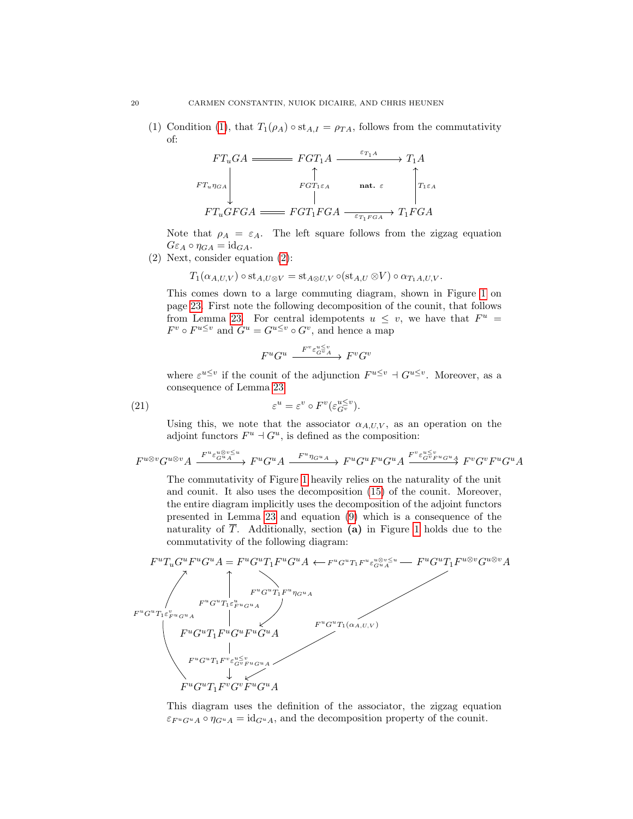[\(1\)](#page-4-1) Condition (1), that  $T_1(\rho_A) \circ st_{A,I} = \rho_{TA}$ , follows from the commutativity of:

$$
FT_uGA \xrightarrow{\varepsilon_{T_1A}} FGT_1A \xrightarrow{\varepsilon_{T_1A}} T_1A
$$
  
\n
$$
FT_u\eta_{GA}
$$
\n
$$
FT_uGFGA \xrightarrow{\varepsilon_{T_1\varepsilon_A}} FGT_1FGA \xrightarrow{\varepsilon_{T_1\varepsilon_{GA}}} T_1FGA
$$

Note that  $\rho_A = \varepsilon_A$ . The left square follows from the zigzag equation  $G\varepsilon_A \circ \eta_{GA} = \mathrm{id}_{GA}.$ 

(2) Next, consider equation [\(2\)](#page-4-8):

$$
T_1(\alpha_{A,U,V}) \circ \mathrm{st}_{A,U\otimes V} = \mathrm{st}_{A\otimes U,V} \circ (\mathrm{st}_{A,U}\otimes V) \circ \alpha_{T_1A,U,V}.
$$

This comes down to a large commuting diagram, shown in Figure [1](#page-23-0) on page [23.](#page-23-0) First note the following decomposition of the counit, that follows from Lemma [23.](#page-7-3) For central idempotents  $u \leq v$ , we have that  $F^u =$  $F^v \circ F^{u \leq v}$  and  $G^u = G^{u \leq v} \circ G^v$ , and hence a map

$$
F^u G^u \xrightarrow{F^v \varepsilon_{G^v A}^{u \le v}} F^v G^v
$$

where  $\varepsilon^{u \leq v}$  if the counit of the adjunction  $F^{u \leq v} \dashv G^{u \leq v}$ . Moreover, as a consequence of Lemma [23:](#page-7-3)

(21) 
$$
\varepsilon^u = \varepsilon^v \circ F^v(\varepsilon_{G^v}^{u \le v}).
$$

Using this, we note that the associator  $\alpha_{A,U,V}$ , as an operation on the adjoint functors  $F^u$  +  $G^u$ , is defined as the composition:

$$
F^{u\otimes v}G^{u\otimes v}A \xrightarrow{F^{u}\varepsilon_G^{u\otimes v\leq u}} F^{u}G^{u}A \xrightarrow{F^{u}\eta_{G^uA}} F^{u}G^{u}F^{u}G^{u}A \xrightarrow{F^{v}\varepsilon_G^{u\leq v}F^{u}G^{u}A} F^{v}G^{v}F^{u}G^{u}A
$$

The commutativity of Figure [1](#page-23-0) heavily relies on the naturality of the unit and counit. It also uses the decomposition [\(15\)](#page-0-0) of the counit. Moreover, the entire diagram implicitly uses the decomposition of the adjoint functors presented in Lemma [23](#page-7-3) and equation [\(9\)](#page-7-4) which is a consequence of the naturality of  $\overline{T}$ . Additionally, section (a) in Figure [1](#page-23-0) holds due to the commutativity of the following diagram:



This diagram uses the definition of the associator, the zigzag equation  $\varepsilon_{F^u G^u A} \circ \eta_{G^u A} = id_{G^u A}$ , and the decomposition property of the counit.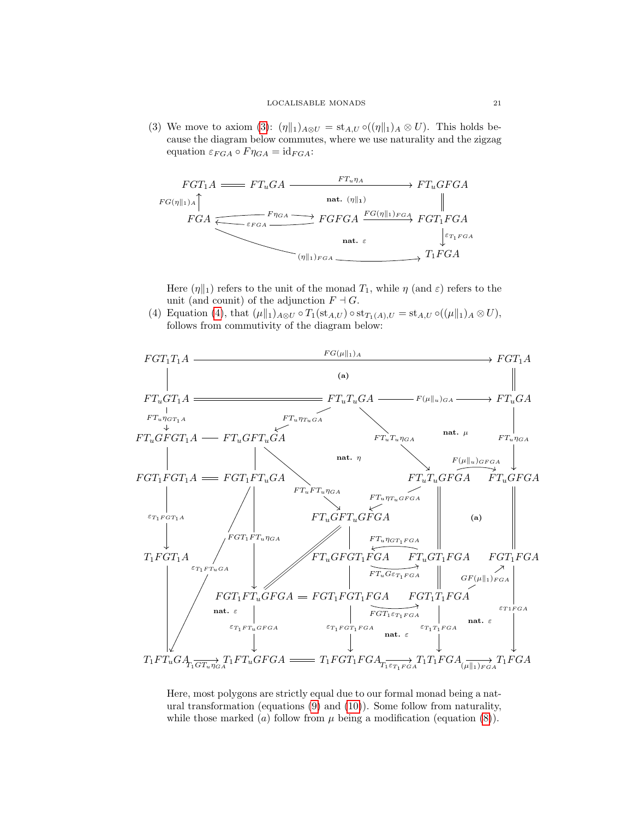[\(3\)](#page-4-5) We move to axiom (3):  $(\eta \|_1)_{A \otimes U} = \text{st}_{A,U} \circ ((\eta \|_1)_A \otimes U)$ . This holds because the diagram below commutes, where we use naturality and the zigzag equation  $\varepsilon_{FGA} \circ F \eta_{GA} = id_{FGA}$ :



Here  $(\eta \|_1)$  refers to the unit of the monad  $T_1$ , while  $\eta$  (and  $\varepsilon$ ) refers to the unit (and counit) of the adjunction  $F \dashv G$ .

[\(4\)](#page-4-2) Equation (4), that  $(\mu \|_1)_{A\otimes U} \circ T_1(\mathrm{st}_{A,U}) \circ \mathrm{st}_{T_1(A),U} = \mathrm{st}_{A,U} \circ ((\mu \|_1)_A \otimes U),$ follows from commutivity of the diagram below:



Here, most polygons are strictly equal due to our formal monad being a natural transformation (equations [\(9\)](#page-7-4) and [\(10\)](#page-7-2)). Some follow from naturality, while those marked (a) follow from  $\mu$  being a modification (equation [\(8\)](#page-7-5)).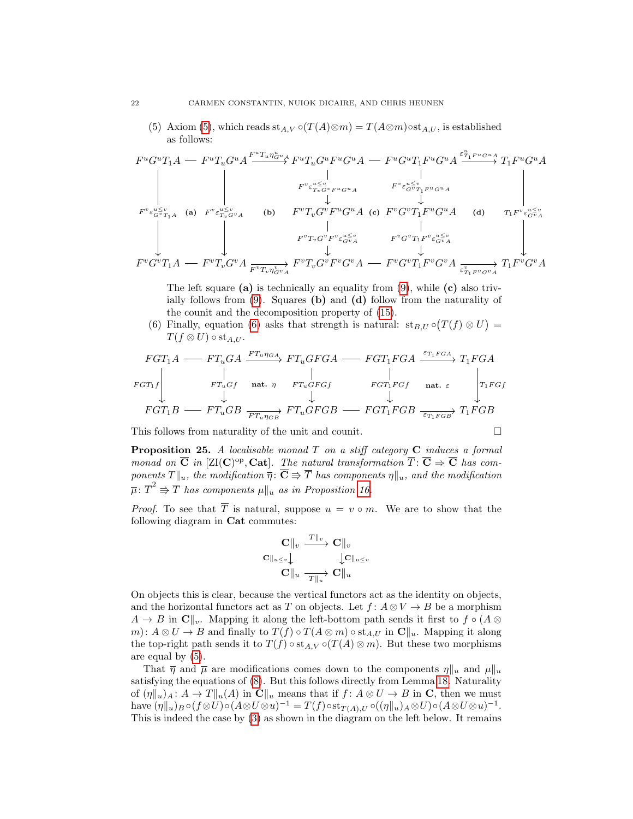[\(5\)](#page-4-0) Axiom (5), which reads  $\operatorname{st}_{A,V} \circ (T(A) \otimes m) = T(A \otimes m) \circ \operatorname{st}_{A,U}$ , is established as follows:

$$
F^{u}G^{u}T_{1}A = F^{u}T_{u}G^{u}A \xrightarrow{F^{u}T_{u}\eta_{G}^{u}u} F^{u}T_{u}G^{u}F^{u}G^{u}A = F^{u}G^{u}T_{1}F^{u}G^{u}A \xrightarrow{\varepsilon_{T_{1}F^{u}G^{u}A}^{u}u} T_{1}F^{u}G^{u}A
$$
\n
$$
F^{v}\varepsilon_{G^{v}T_{1}A}^{u\leq v} \xrightarrow{\varepsilon_{T_{v}G^{v}F^{u}G^{u}A}} \qquad F^{v}\varepsilon_{G^{v}T_{1}F^{u}G^{u}A}^{u\leq v}
$$
\n
$$
F^{v}\varepsilon_{G^{v}T_{1}A}^{u\leq v} \xrightarrow{\varepsilon_{T_{v}G^{v}F^{v}G^{v}A}} \qquad \text{(b)} \qquad F^{v}T_{v}G^{v}F^{u}G^{u}A \qquad \text{(c)} \qquad F^{v}G^{v}T_{1}F^{u}G^{u}A \qquad \text{(d)} \qquad T_{1}F^{v}\varepsilon_{G^{v}A}^{u\leq v}
$$
\n
$$
F^{v}T_{v}G^{v}F^{v}\varepsilon_{G^{v}A}^{u\leq v} \qquad F^{v}G^{v}T_{1}F^{v}\varepsilon_{G^{v}A}^{u\leq v}
$$
\n
$$
F^{v}G^{v}T_{1}A = F^{v}T_{v}G^{v}A \xrightarrow{\varepsilon_{T_{v}T_{v}\eta_{G^{v}A}^{v}F^{v}T_{v}G^{v}A}} F^{v}T_{v}G^{v}F^{v}G^{v}A = F^{v}G^{v}T_{1}F^{v}G^{v}A \xrightarrow{\varepsilon_{T_{1}F^{v}G^{v}A}} T_{1}F^{v}G^{v}A
$$

The left square (a) is technically an equality from  $(9)$ , while (c) also trivially follows from  $(9)$ . Squares (b) and (d) follow from the naturality of the counit and the decomposition property of [\(15\)](#page-0-0).

[\(6\)](#page-4-3) Finally, equation (6) asks that strength is natural:  $\operatorname{st}_{B,U} \circ (T(f) \otimes U) =$  $T(f \otimes U) \circ st_{A,U}.$ 

$$
FGT_1A \longrightarrow FT_uGA \xrightarrow{FT_u\eta_{GA}} FT_uGFGA \longrightarrow FGT_1FGA \xrightarrow{\varepsilon_{T_1FGA}} T_1FGA
$$
  
\n
$$
FGT_1f \qquad \qquad \downarrow \qquad \qquad \downarrow \qquad \qquad \downarrow \qquad \qquad \downarrow \qquad \qquad \downarrow
$$
  
\n
$$
FGT_1B \longrightarrow FT_uGB \xrightarrow{FT_u\eta_{GB}} FT_uGFGB \longrightarrow FGT_1FGB \xrightarrow{\varepsilon_{T_1FGB}} T_1FGB
$$

This follows from naturality of the unit and counit.  $\Box$ 

**Proposition 25.** A localisable monad  $T$  on a stiff category  $C$  induces a formal monad on  $\overline{C}$  in [ZI(C)<sup>op</sup>, Cat]. The natural transformation  $\overline{T}$ :  $\overline{C} \Rightarrow \overline{C}$  has components  $T\|_u$ , the modification  $\overline{\eta} : \overline{\mathbf{C}} \Rrightarrow \overline{T}$  has components  $\eta\|_u$ , and the modification  $\overline{\mu}: \overline{T}^2 \Rrightarrow \overline{T}$  has components  $\mu||_u$  as in Proposition [16.](#page-4-7)

*Proof.* To see that  $\overline{T}$  is natural, suppose  $u = v \circ m$ . We are to show that the following diagram in Cat commutes:

$$
\begin{array}{ccc}\n\mathbf{C}\|_{v} & \xrightarrow{T\|_{v}} \mathbf{C}\|_{v} \\
\mathbf{C}\|_{u \leq v} & \downarrow \mathbf{C}\|_{u \leq v} \\
\mathbf{C}\|_{u} & \xrightarrow{T\|_{u}} \mathbf{C}\|_{u}\n\end{array}
$$

On objects this is clear, because the vertical functors act as the identity on objects, and the horizontal functors act as T on objects. Let  $f: A \otimes V \to B$  be a morphism  $A \to B$  in  $\mathbf{C} \parallel_{v}$ . Mapping it along the left-bottom path sends it first to  $f \circ (A \otimes$ m):  $A \otimes U \to B$  and finally to  $T(f) \circ T(A \otimes m) \circ st_{A,U}$  in  $\mathbb{C}||_u$ . Mapping it along the top-right path sends it to  $T(f) \circ st_{A,V} \circ (T(A) \otimes m)$ . But these two morphisms are equal by [\(5\)](#page-4-0).

That  $\bar{\eta}$  and  $\bar{\mu}$  are modifications comes down to the components  $\eta \|_{u}$  and  $\mu \|_{u}$ satisfying the equations of [\(8\)](#page-7-5). But this follows directly from Lemma [18.](#page-5-1) Naturality of  $(\eta \|_u)_A : A \to T \|_u(A)$  in  $\mathbb{C} \|_u$  means that if  $f : A \otimes U \to B$  in C, then we must have  $(\eta \|_u)_B \circ (f \otimes U) \circ (A \otimes U \otimes u)^{-1} = T(f) \circ st_{T(A),U} \circ ((\eta \|_u)_A \otimes U) \circ (A \otimes U \otimes u)^{-1}.$ This is indeed the case by [\(3\)](#page-4-5) as shown in the diagram on the left below. It remains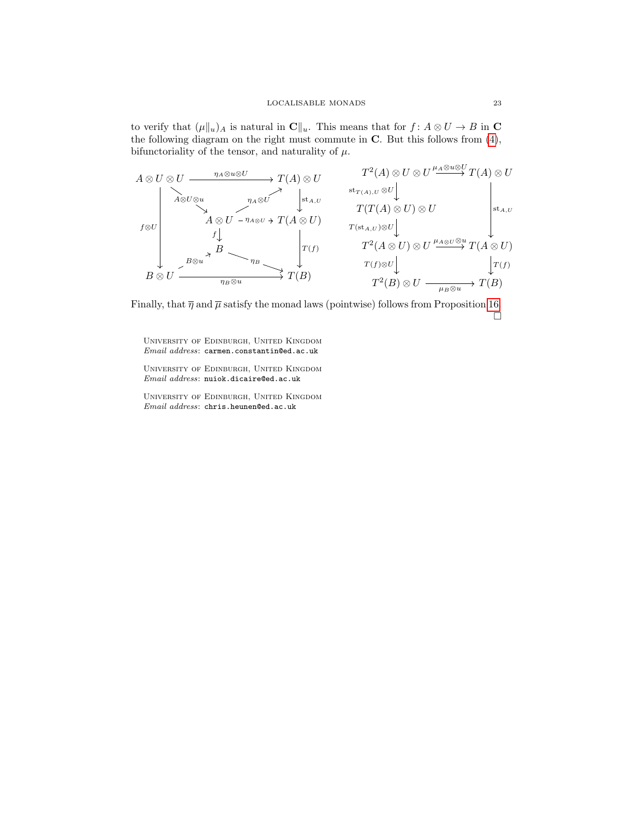to verify that  $(\mu \|_u)_A$  is natural in  $\mathbf{C}\|_u$ . This means that for  $f : A \otimes U \to B$  in  $\mathbf{C}$ the following diagram on the right must commute in  $C$ . But this follows from  $(4)$ , bifunctoriality of the tensor, and naturality of  $\mu$ .

$$
A \otimes U \otimes U \xrightarrow{\eta_{A} \otimes u \otimes U} T(A) \otimes U
$$
\n
$$
I^{2}(A) \otimes U \otimes U \xrightarrow{\mu_{A} \otimes u \otimes U} T(A) \otimes U
$$
\n
$$
I^{3}(A) \otimes U \otimes U \xrightarrow{\eta_{A} \otimes U} T(A) \otimes U
$$
\n
$$
I^{4}(A) \otimes U \otimes U \xrightarrow{\text{st}_{T(A),U} \otimes U} T(T(A) \otimes U) \otimes U
$$
\n
$$
I^{3}(T(A) \otimes U) \otimes U
$$
\n
$$
I^{4}(T(A) \otimes U) \otimes U
$$
\n
$$
I^{5}(T(A) \otimes U) \otimes U \xrightarrow{\text{st}_{A,U} \otimes U} T(T(A) \otimes U)
$$
\n
$$
I^{6}(T(A) \otimes U) \otimes U \xrightarrow{\text{st}_{A,U} \otimes U} T(A \otimes U)
$$
\n
$$
I^{7}(T(A) \otimes U) \otimes U \xrightarrow{\text{st}_{A,U} \otimes U} T(A \otimes U)
$$
\n
$$
I^{7}(T(A) \otimes U) \otimes U \xrightarrow{\text{st}_{A,U} \otimes U} T(A \otimes U)
$$
\n
$$
I^{7}(T(A) \otimes U) \otimes U \xrightarrow{\text{st}_{A,U} \otimes U} T(A) \otimes U
$$
\n
$$
I^{4}(T(A) \otimes U) \otimes U \xrightarrow{\text{st}_{A,U} \otimes U} T(A) \otimes U
$$

Finally, that  $\overline{\eta}$  and  $\overline{\mu}$  satisfy the monad laws (pointwise) follows from Proposition [16.](#page-4-7)  $\Box$ 

University of Edinburgh, United Kingdom  $Email \;address\colon \texttt{carmen}.\texttt{constant}\texttt{in@ed}.\texttt{ac}.\texttt{uk}$ 

University of Edinburgh, United Kingdom Email address: nuiok.dicaire@ed.ac.uk

University of Edinburgh, United Kingdom Email address: chris.heunen@ed.ac.uk